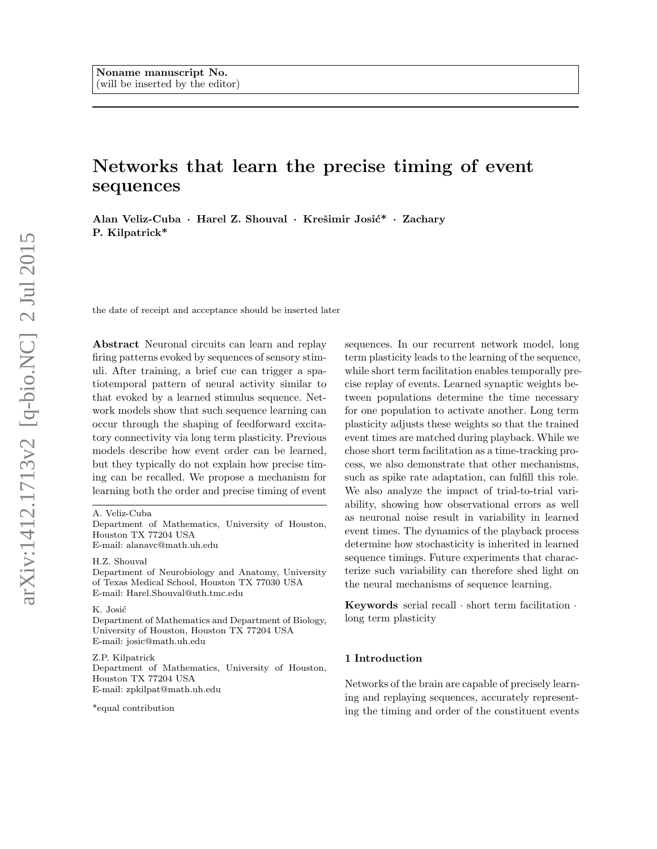# Networks that learn the precise timing of event sequences

Alan Veliz-Cuba · Harel Z. Shouval · Krešimir Josić\* · Zachary P. Kilpatrick\*

the date of receipt and acceptance should be inserted later

Abstract Neuronal circuits can learn and replay firing patterns evoked by sequences of sensory stimuli. After training, a brief cue can trigger a spatiotemporal pattern of neural activity similar to that evoked by a learned stimulus sequence. Network models show that such sequence learning can occur through the shaping of feedforward excitatory connectivity via long term plasticity. Previous models describe how event order can be learned, but they typically do not explain how precise timing can be recalled. We propose a mechanism for learning both the order and precise timing of event

Department of Mathematics, University of Houston, Houston TX 77204 USA E-mail: alanavc@math.uh.edu

H.Z. Shouval

Department of Neurobiology and Anatomy, University of Texas Medical School, Houston TX 77030 USA E-mail: Harel.Shouval@uth.tmc.edu

#### K. Josić

Department of Mathematics and Department of Biology, University of Houston, Houston TX 77204 USA E-mail: josic@math.uh.edu

Z.P. Kilpatrick Department of Mathematics, University of Houston, Houston TX 77204 USA E-mail: zpkilpat@math.uh.edu

\*equal contribution

sequences. In our recurrent network model, long term plasticity leads to the learning of the sequence, while short term facilitation enables temporally precise replay of events. Learned synaptic weights between populations determine the time necessary for one population to activate another. Long term plasticity adjusts these weights so that the trained event times are matched during playback. While we chose short term facilitation as a time-tracking process, we also demonstrate that other mechanisms, such as spike rate adaptation, can fulfill this role. We also analyze the impact of trial-to-trial variability, showing how observational errors as well as neuronal noise result in variability in learned event times. The dynamics of the playback process determine how stochasticity is inherited in learned sequence timings. Future experiments that characterize such variability can therefore shed light on the neural mechanisms of sequence learning.

Keywords serial recall  $\cdot$  short term facilitation  $\cdot$ long term plasticity

#### 1 Introduction

Networks of the brain are capable of precisely learning and replaying sequences, accurately representing the timing and order of the constituent events

A. Veliz-Cuba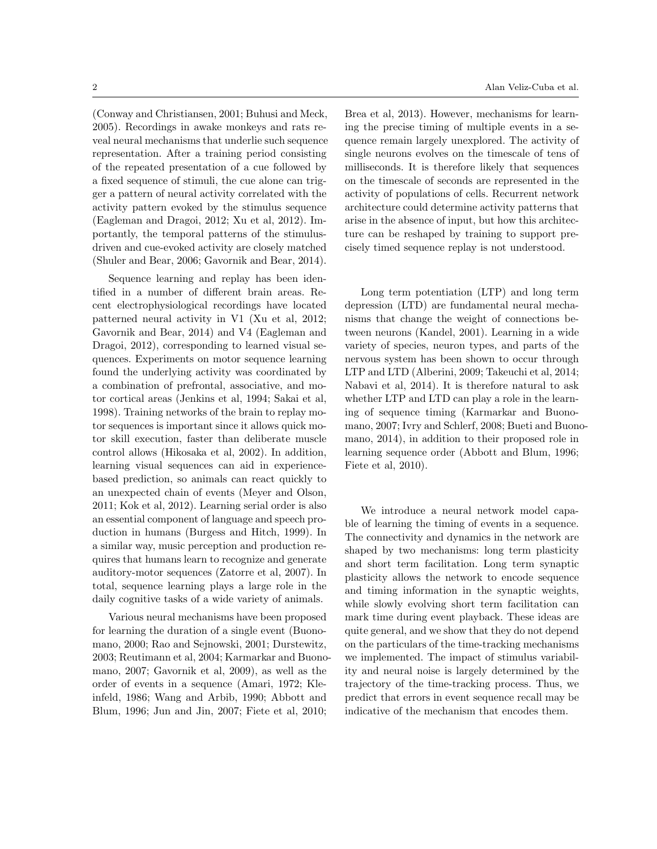(Conway and Christiansen, 2001; Buhusi and Meck, 2005). Recordings in awake monkeys and rats reveal neural mechanisms that underlie such sequence representation. After a training period consisting of the repeated presentation of a cue followed by a fixed sequence of stimuli, the cue alone can trigger a pattern of neural activity correlated with the activity pattern evoked by the stimulus sequence (Eagleman and Dragoi, 2012; Xu et al, 2012). Importantly, the temporal patterns of the stimulusdriven and cue-evoked activity are closely matched (Shuler and Bear, 2006; Gavornik and Bear, 2014).

Sequence learning and replay has been identified in a number of different brain areas. Recent electrophysiological recordings have located patterned neural activity in V1 (Xu et al, 2012; Gavornik and Bear, 2014) and V4 (Eagleman and Dragoi, 2012), corresponding to learned visual sequences. Experiments on motor sequence learning found the underlying activity was coordinated by a combination of prefrontal, associative, and motor cortical areas (Jenkins et al, 1994; Sakai et al, 1998). Training networks of the brain to replay motor sequences is important since it allows quick motor skill execution, faster than deliberate muscle control allows (Hikosaka et al, 2002). In addition, learning visual sequences can aid in experiencebased prediction, so animals can react quickly to an unexpected chain of events (Meyer and Olson, 2011; Kok et al, 2012). Learning serial order is also an essential component of language and speech production in humans (Burgess and Hitch, 1999). In a similar way, music perception and production requires that humans learn to recognize and generate auditory-motor sequences (Zatorre et al, 2007). In total, sequence learning plays a large role in the daily cognitive tasks of a wide variety of animals.

Various neural mechanisms have been proposed for learning the duration of a single event (Buonomano, 2000; Rao and Sejnowski, 2001; Durstewitz, 2003; Reutimann et al, 2004; Karmarkar and Buonomano, 2007; Gavornik et al, 2009), as well as the order of events in a sequence (Amari, 1972; Kleinfeld, 1986; Wang and Arbib, 1990; Abbott and Blum, 1996; Jun and Jin, 2007; Fiete et al, 2010;

Brea et al, 2013). However, mechanisms for learning the precise timing of multiple events in a sequence remain largely unexplored. The activity of single neurons evolves on the timescale of tens of milliseconds. It is therefore likely that sequences on the timescale of seconds are represented in the activity of populations of cells. Recurrent network architecture could determine activity patterns that arise in the absence of input, but how this architecture can be reshaped by training to support precisely timed sequence replay is not understood.

Long term potentiation (LTP) and long term depression (LTD) are fundamental neural mechanisms that change the weight of connections between neurons (Kandel, 2001). Learning in a wide variety of species, neuron types, and parts of the nervous system has been shown to occur through LTP and LTD (Alberini, 2009; Takeuchi et al, 2014; Nabavi et al, 2014). It is therefore natural to ask whether LTP and LTD can play a role in the learning of sequence timing (Karmarkar and Buonomano, 2007; Ivry and Schlerf, 2008; Bueti and Buonomano, 2014), in addition to their proposed role in learning sequence order (Abbott and Blum, 1996; Fiete et al, 2010).

We introduce a neural network model capable of learning the timing of events in a sequence. The connectivity and dynamics in the network are shaped by two mechanisms: long term plasticity and short term facilitation. Long term synaptic plasticity allows the network to encode sequence and timing information in the synaptic weights, while slowly evolving short term facilitation can mark time during event playback. These ideas are quite general, and we show that they do not depend on the particulars of the time-tracking mechanisms we implemented. The impact of stimulus variability and neural noise is largely determined by the trajectory of the time-tracking process. Thus, we predict that errors in event sequence recall may be indicative of the mechanism that encodes them.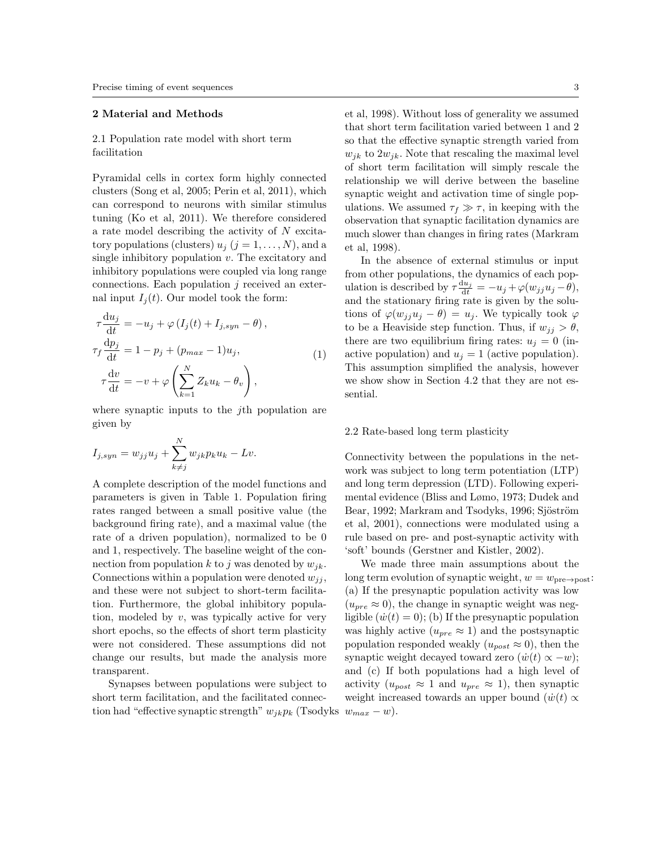## 2 Material and Methods

# 2.1 Population rate model with short term facilitation

Pyramidal cells in cortex form highly connected clusters (Song et al, 2005; Perin et al, 2011), which can correspond to neurons with similar stimulus tuning (Ko et al, 2011). We therefore considered a rate model describing the activity of N excitatory populations (clusters)  $u_j$   $(j = 1, \ldots, N)$ , and a single inhibitory population  $v$ . The excitatory and inhibitory populations were coupled via long range connections. Each population  $j$  received an external input  $I_i(t)$ . Our model took the form:

$$
\tau \frac{du_j}{dt} = -u_j + \varphi (I_j(t) + I_{j,syn} - \theta),
$$
  
\n
$$
\tau_f \frac{dp_j}{dt} = 1 - p_j + (p_{max} - 1)u_j,
$$
  
\n
$$
\tau \frac{dv}{dt} = -v + \varphi \left(\sum_{k=1}^N Z_k u_k - \theta_v\right),
$$
\n(1)

where synaptic inputs to the *j*th population are given by

$$
I_{j,syn} = w_{jj}u_j + \sum_{k \neq j}^{N} w_{jk}p_ku_k - Lv.
$$

A complete description of the model functions and parameters is given in Table 1. Population firing rates ranged between a small positive value (the background firing rate), and a maximal value (the rate of a driven population), normalized to be 0 and 1, respectively. The baseline weight of the connection from population k to j was denoted by  $w_{jk}$ . Connections within a population were denoted  $w_{ij}$ , and these were not subject to short-term facilitation. Furthermore, the global inhibitory population, modeled by  $v$ , was typically active for very short epochs, so the effects of short term plasticity were not considered. These assumptions did not change our results, but made the analysis more transparent.

Synapses between populations were subject to short term facilitation, and the facilitated connection had "effective synaptic strength"  $w_{jk}p_k$  (Tsodyks  $w_{max} - w$ ).

et al, 1998). Without loss of generality we assumed that short term facilitation varied between 1 and 2 so that the effective synaptic strength varied from  $w_{jk}$  to  $2w_{jk}$ . Note that rescaling the maximal level of short term facilitation will simply rescale the relationship we will derive between the baseline synaptic weight and activation time of single populations. We assumed  $\tau_f \gg \tau$ , in keeping with the observation that synaptic facilitation dynamics are much slower than changes in firing rates (Markram et al, 1998).

In the absence of external stimulus or input from other populations, the dynamics of each population is described by  $\tau \frac{du_j}{dt} = -u_j + \varphi(w_{jj}u_j - \theta),$ and the stationary firing rate is given by the solutions of  $\varphi(w_{ij}u_j - \theta) = u_j$ . We typically took  $\varphi$ to be a Heaviside step function. Thus, if  $w_{jj} > \theta$ , there are two equilibrium firing rates:  $u_j = 0$  (inactive population) and  $u_i = 1$  (active population). This assumption simplified the analysis, however we show show in Section 4.2 that they are not essential.

## 2.2 Rate-based long term plasticity

Connectivity between the populations in the network was subject to long term potentiation (LTP) and long term depression (LTD). Following experimental evidence (Bliss and Lømo, 1973; Dudek and Bear, 1992; Markram and Tsodyks, 1996; Sjöström et al, 2001), connections were modulated using a rule based on pre- and post-synaptic activity with 'soft' bounds (Gerstner and Kistler, 2002).

We made three main assumptions about the long term evolution of synaptic weight,  $w = w_{\text{pre}\rightarrow \text{post}}$ : (a) If the presynaptic population activity was low  $(u_{pre} \approx 0)$ , the change in synaptic weight was negligible  $(\dot{w}(t) = 0)$ ; (b) If the presynaptic population was highly active  $(u_{pre} \approx 1)$  and the postsynaptic population responded weakly  $(u_{post} \approx 0)$ , then the synaptic weight decayed toward zero  $(\dot{w}(t) \propto -w);$ and (c) If both populations had a high level of activity  $(u_{post} \approx 1$  and  $u_{pre} \approx 1$ ), then synaptic weight increased towards an upper bound  $(\dot{w}(t) \propto$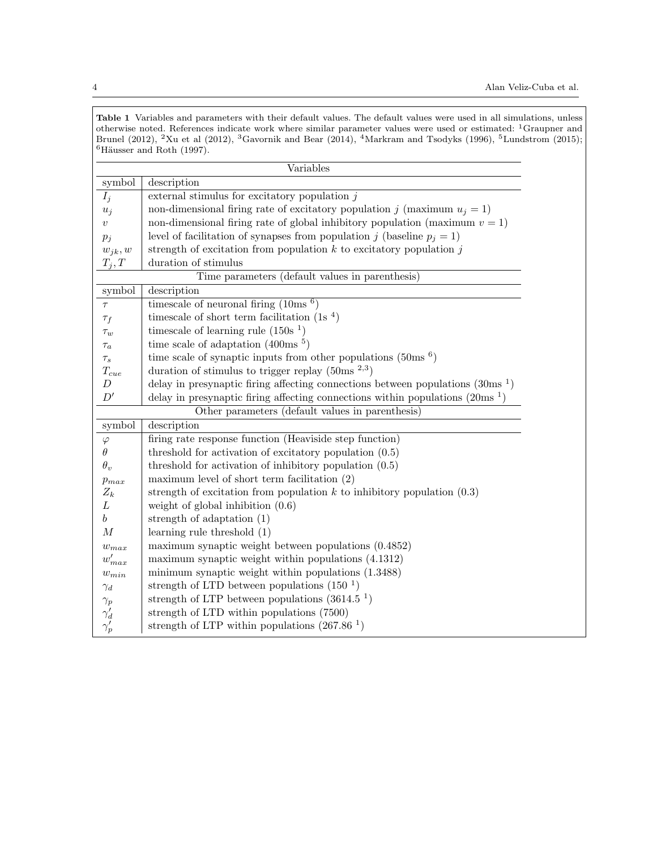Table 1 Variables and parameters with their default values. The default values were used in all simulations, unless otherwise noted. References indicate work where similar parameter values were used or estimated: <sup>1</sup>Graupner and Brunel (2012), <sup>2</sup>Xu et al (2012), <sup>3</sup>Gavornik and Bear (2014), <sup>4</sup>Markram and Tsodyks (1996), <sup>5</sup>Lundstrom (2015);  $6Häusser$  and Roth (1997).

|                                                  | Variables                                                                                  |
|--------------------------------------------------|--------------------------------------------------------------------------------------------|
| symbol                                           | description                                                                                |
| $I_j$                                            | external stimulus for excitatory population $j$                                            |
| $u_j$                                            | non-dimensional firing rate of excitatory population j (maximum $u_j = 1$ )                |
| $\upsilon$                                       | non-dimensional firing rate of global inhibitory population (maximum $v = 1$ )             |
| $p_j$                                            | level of facilitation of synapses from population j (baseline $p_i = 1$ )                  |
| $w_{jk}, w$                                      | strength of excitation from population $k$ to excitatory population $j$                    |
| $T_j, T$                                         | duration of stimulus                                                                       |
| Time parameters (default values in parenthesis)  |                                                                                            |
| symbol                                           | description                                                                                |
| $\tau$                                           | timescale of neuronal firing $(10\text{ms}$ <sup>6</sup> )                                 |
| $\tau_f$                                         | timescale of short term facilitation $(1s4)$                                               |
| $\tau_w$                                         | timescale of learning rule $(150s1)$                                                       |
| $\tau_a$                                         | time scale of adaptation $(400\text{ms}^{-5})$                                             |
| $\tau_s$                                         | time scale of synaptic inputs from other populations $(50\text{ms}$ <sup>6</sup> )         |
| $T_{cue}$                                        | duration of stimulus to trigger replay $(50\text{ms}^{-2,3})$                              |
| $\boldsymbol{D}$                                 | delay in presynaptic firing affecting connections between populations $(30\text{ms}^{-1})$ |
| D'                                               | delay in presynaptic firing affecting connections within populations $(20\text{ms}^{-1})$  |
| Other parameters (default values in parenthesis) |                                                                                            |
| symbol                                           | description                                                                                |
| $\varphi$                                        | firing rate response function (Heaviside step function)                                    |
| $\theta$                                         | threshold for activation of excitatory population $(0.5)$                                  |
| $\theta_v$                                       | threshold for activation of inhibitory population $(0.5)$                                  |
| $p_{max}$                                        | maximum level of short term facilitation $(2)$                                             |
| $Z_k$                                            | strength of excitation from population $k$ to inhibitory population $(0.3)$                |
| L                                                | weight of global inhibition $(0.6)$                                                        |
| $\boldsymbol{b}$                                 | strength of adaptation $(1)$                                                               |
| $\boldsymbol{M}$                                 | learning rule threshold $(1)$                                                              |
| $w_{max}$                                        | maximum synaptic weight between populations $(0.4852)$                                     |
| $w'_{max}$                                       | maximum synaptic weight within populations (4.1312)                                        |
| $w_{min}$                                        | minimum synaptic weight within populations (1.3488)                                        |
| $\gamma_d$                                       | strength of LTD between populations $(150-1)$                                              |
| $\gamma_p$                                       | strength of LTP between populations $(3614.51)$                                            |
| $\gamma_d'$                                      | strength of LTD within populations (7500)                                                  |
| $\gamma_p'$                                      | strength of LTP within populations $(267.86-1)$                                            |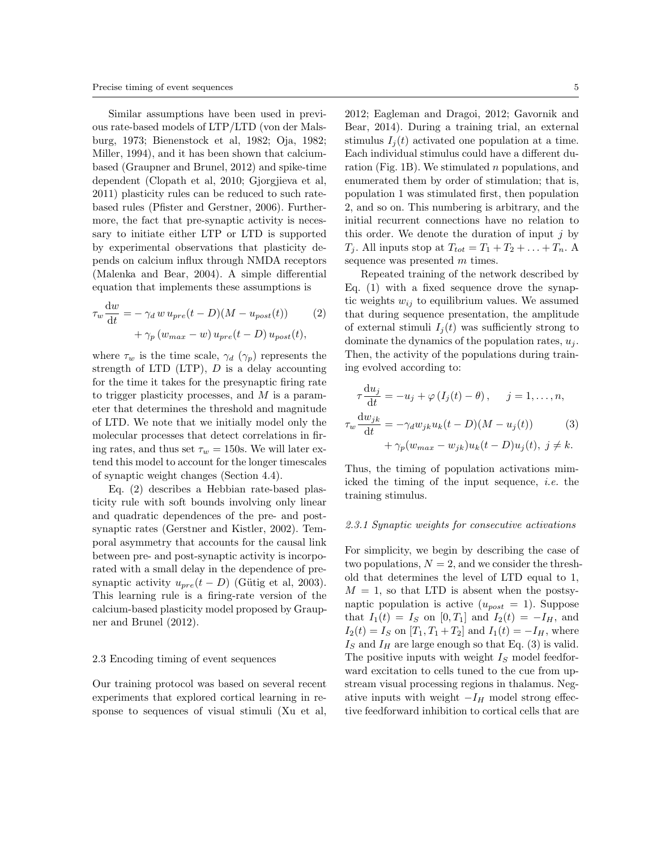Similar assumptions have been used in previous rate-based models of LTP/LTD (von der Malsburg, 1973; Bienenstock et al, 1982; Oja, 1982; Miller, 1994), and it has been shown that calciumbased (Graupner and Brunel, 2012) and spike-time dependent (Clopath et al, 2010; Gjorgjieva et al, 2011) plasticity rules can be reduced to such ratebased rules (Pfister and Gerstner, 2006). Furthermore, the fact that pre-synaptic activity is necessary to initiate either LTP or LTD is supported by experimental observations that plasticity depends on calcium influx through NMDA receptors (Malenka and Bear, 2004). A simple differential equation that implements these assumptions is

$$
\tau_w \frac{\mathrm{d}w}{\mathrm{d}t} = -\gamma_d w u_{pre}(t - D)(M - u_{post}(t)) \tag{2}
$$

$$
+ \gamma_p (w_{max} - w) u_{pre}(t - D) u_{post}(t),
$$

where  $\tau_w$  is the time scale,  $\gamma_d$  ( $\gamma_p$ ) represents the strength of LTD  $(LTP)$ ,  $D$  is a delay accounting for the time it takes for the presynaptic firing rate to trigger plasticity processes, and  $M$  is a parameter that determines the threshold and magnitude of LTD. We note that we initially model only the molecular processes that detect correlations in firing rates, and thus set  $\tau_w = 150$ s. We will later extend this model to account for the longer timescales of synaptic weight changes (Section 4.4).

Eq. (2) describes a Hebbian rate-based plasticity rule with soft bounds involving only linear and quadratic dependences of the pre- and postsynaptic rates (Gerstner and Kistler, 2002). Temporal asymmetry that accounts for the causal link between pre- and post-synaptic activity is incorporated with a small delay in the dependence of presynaptic activity  $u_{pre}(t - D)$  (Gütig et al, 2003). This learning rule is a firing-rate version of the calcium-based plasticity model proposed by Graupner and Brunel (2012).

# 2.3 Encoding timing of event sequences

Our training protocol was based on several recent experiments that explored cortical learning in response to sequences of visual stimuli (Xu et al,

2012; Eagleman and Dragoi, 2012; Gavornik and Bear, 2014). During a training trial, an external stimulus  $I_i(t)$  activated one population at a time. Each individual stimulus could have a different duration (Fig. 1B). We stimulated n populations, and enumerated them by order of stimulation; that is, population 1 was stimulated first, then population 2, and so on. This numbering is arbitrary, and the initial recurrent connections have no relation to this order. We denote the duration of input  $j$  by  $T_i$ . All inputs stop at  $T_{tot} = T_1 + T_2 + \ldots + T_n$ . A sequence was presented m times.

Repeated training of the network described by Eq. (1) with a fixed sequence drove the synaptic weights  $w_{ij}$  to equilibrium values. We assumed that during sequence presentation, the amplitude of external stimuli  $I_i(t)$  was sufficiently strong to dominate the dynamics of the population rates,  $u_i$ . Then, the activity of the populations during training evolved according to:

$$
\tau \frac{\mathrm{d}u_j}{\mathrm{d}t} = -u_j + \varphi \left( I_j(t) - \theta \right), \quad j = 1, \dots, n,
$$
  

$$
\tau_w \frac{\mathrm{d}w_{jk}}{\mathrm{d}t} = -\gamma_d w_{jk} u_k(t - D)(M - u_j(t)) \tag{3}
$$
  

$$
+ \gamma_p (w_{max} - w_{jk}) u_k(t - D) u_j(t), \ j \neq k.
$$

Thus, the timing of population activations mimicked the timing of the input sequence, i.e. the training stimulus.

#### 2.3.1 Synaptic weights for consecutive activations

For simplicity, we begin by describing the case of two populations,  $N = 2$ , and we consider the threshold that determines the level of LTD equal to 1,  $M = 1$ , so that LTD is absent when the postsynaptic population is active  $(u_{post} = 1)$ . Suppose that  $I_1(t) = I_S$  on [0, T<sub>1</sub>] and  $I_2(t) = -I_H$ , and  $I_2(t) = I_S$  on  $[T_1, T_1 + T_2]$  and  $I_1(t) = -I_H$ , where  $I<sub>S</sub>$  and  $I<sub>H</sub>$  are large enough so that Eq. (3) is valid. The positive inputs with weight  $I<sub>S</sub>$  model feedforward excitation to cells tuned to the cue from upstream visual processing regions in thalamus. Negative inputs with weight  $-I_H$  model strong effective feedforward inhibition to cortical cells that are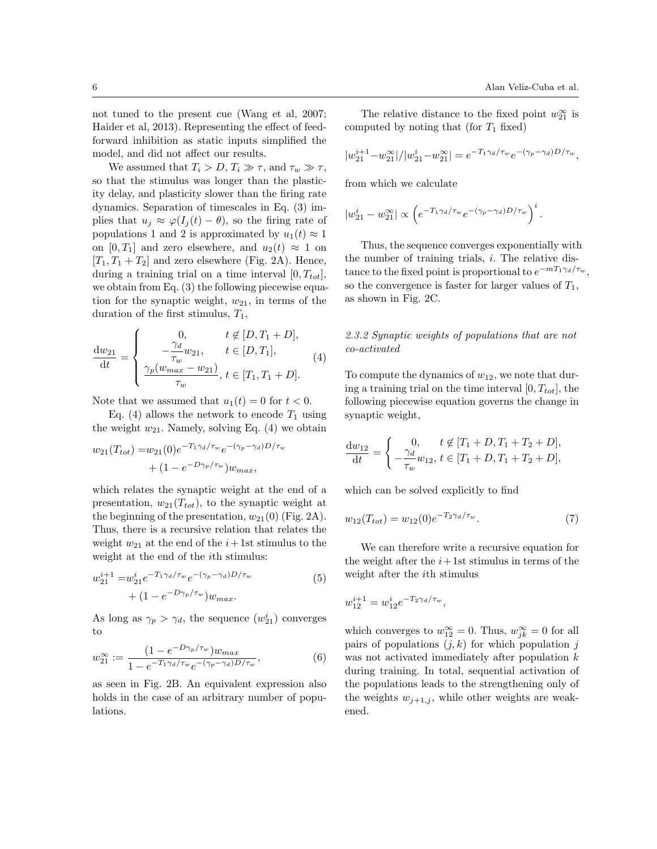.

not tuned to the present cue (Wang et al, 2007; Haider et al, 2013). Representing the effect of feedforward inhibition as static inputs simplified the model, and did not affect our results.

We assumed that  $T_i > D$ ,  $T_i \gg \tau$ , and  $\tau_w \gg \tau$ , so that the stimulus was longer than the plasticity delay, and plasticity slower than the firing rate dynamics. Separation of timescales in Eq. (3) implies that  $u_j \approx \varphi(I_j(t) - \theta)$ , so the firing rate of populations 1 and 2 is approximated by  $u_1(t) \approx 1$ on [0, T<sub>1</sub>] and zero elsewhere, and  $u_2(t) \approx 1$  on  $[T_1, T_1 + T_2]$  and zero elsewhere (Fig. 2A). Hence, during a training trial on a time interval  $[0, T_{tot}],$ we obtain from Eq. (3) the following piecewise equation for the synaptic weight,  $w_{21}$ , in terms of the duration of the first stimulus,  $T_1$ ,

$$
\frac{dw_{21}}{dt} = \begin{cases}\n0, & t \notin [D, T_1 + D], \\
-\frac{\gamma_d}{\tau_w} w_{21}, & t \in [D, T_1], \\
\frac{\gamma_p(w_{max} - w_{21})}{\tau_w}, & t \in [T_1, T_1 + D].\n\end{cases}
$$
\n(4)

Note that we assumed that  $u_1(t) = 0$  for  $t < 0$ .

Eq. (4) allows the network to encode  $T_1$  using the weight  $w_{21}$ . Namely, solving Eq. (4) we obtain

$$
w_{21}(T_{tot}) = w_{21}(0)e^{-T_1\gamma_d/\tau_w}e^{-(\gamma_p - \gamma_d)D/\tau_w} + (1 - e^{-D\gamma_p/\tau_w})w_{max},
$$

which relates the synaptic weight at the end of a presentation,  $w_{21}(T_{tot})$ , to the synaptic weight at the beginning of the presentation,  $w_{21}(0)$  (Fig. 2A). Thus, there is a recursive relation that relates the weight  $w_{21}$  at the end of the  $i+1$ st stimulus to the weight at the end of the *i*th stimulus:

$$
w_{21}^{i+1} = w_{21}^{i} e^{-T_1 \gamma_d / \tau_w} e^{-(\gamma_p - \gamma_d) D / \tau_w}
$$
  
 
$$
+ (1 - e^{-D \gamma_p / \tau_w}) w_{max}.
$$
 (5)

As long as  $\gamma_p > \gamma_d$ , the sequence  $(w_{21}^i)$  converges to

$$
w_{21}^{\infty} := \frac{(1 - e^{-D\gamma_p/\tau_w})w_{max}}{1 - e^{-T_1\gamma_d/\tau_w}e^{-(\gamma_p - \gamma_d)D/\tau_w}},
$$
(6)

as seen in Fig. 2B. An equivalent expression also holds in the case of an arbitrary number of populations.

The relative distance to the fixed point  $w_{21}^{\infty}$  is computed by noting that (for  $T_1$  fixed)

$$
|w_{21}^{i+1} - w_{21}^{\infty}| / |w_{21}^{i} - w_{21}^{\infty}| = e^{-T_1 \gamma_d / \tau_w} e^{-(\gamma_p - \gamma_d)D / \tau_w},
$$

from which we calculate

$$
|w_{21}^{i} - w_{21}^{\infty}| \propto \left(e^{-T_1 \gamma_d / \tau_w} e^{-(\gamma_p - \gamma_d)D / \tau_w}\right)^i
$$

Thus, the sequence converges exponentially with the number of training trials,  $i$ . The relative distance to the fixed point is proportional to  $e^{-mT_1\gamma_d/\tau_w}$ , so the convergence is faster for larger values of  $T_1$ , as shown in Fig. 2C.

2.3.2 Synaptic weights of populations that are not co-activated

To compute the dynamics of  $w_{12}$ , we note that during a training trial on the time interval  $[0, T_{tot}]$ , the following piecewise equation governs the change in synaptic weight,

$$
\frac{\mathrm{d}w_{12}}{\mathrm{d}t} = \begin{cases} 0, & t \notin [T_1 + D, T_1 + T_2 + D], \\ -\frac{\gamma_d}{\tau_w} w_{12}, & t \in [T_1 + D, T_1 + T_2 + D], \end{cases}
$$

which can be solved explicitly to find

$$
w_{12}(T_{tot}) = w_{12}(0)e^{-T_2\gamma_d/\tau_w}.
$$
 (7)

We can therefore write a recursive equation for the weight after the  $i+1$ st stimulus in terms of the weight after the ith stimulus

$$
w_{12}^{i+1} = w_{12}^i e^{-T_2 \gamma_d / \tau_w},
$$

which converges to  $w_{12}^{\infty} = 0$ . Thus,  $w_{jk}^{\infty} = 0$  for all pairs of populations  $(j, k)$  for which population j was not activated immediately after population  $k$ during training. In total, sequential activation of the populations leads to the strengthening only of the weights  $w_{j+1,j}$ , while other weights are weakened.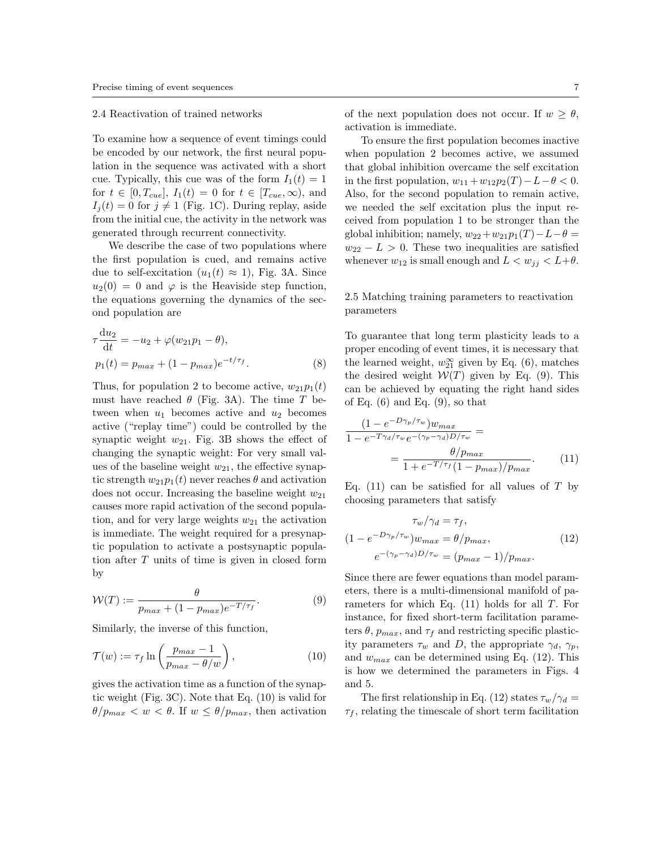#### 2.4 Reactivation of trained networks

To examine how a sequence of event timings could be encoded by our network, the first neural population in the sequence was activated with a short cue. Typically, this cue was of the form  $I_1(t) = 1$ for  $t \in [0, T_{cue}], I_1(t) = 0$  for  $t \in [T_{cue}, \infty),$  and  $I_i(t) = 0$  for  $j \neq 1$  (Fig. 1C). During replay, aside from the initial cue, the activity in the network was generated through recurrent connectivity.

We describe the case of two populations where the first population is cued, and remains active due to self-excitation  $(u_1(t) \approx 1)$ , Fig. 3A. Since  $u_2(0) = 0$  and  $\varphi$  is the Heaviside step function, the equations governing the dynamics of the second population are

$$
\tau \frac{\mathrm{d}u_2}{\mathrm{d}t} = -u_2 + \varphi(w_{21}p_1 - \theta), \n p_1(t) = p_{max} + (1 - p_{max})e^{-t/\tau_f}.
$$
\n(8)

Thus, for population 2 to become active,  $w_{21}p_1(t)$ must have reached  $\theta$  (Fig. 3A). The time T between when  $u_1$  becomes active and  $u_2$  becomes active ("replay time") could be controlled by the synaptic weight  $w_{21}$ . Fig. 3B shows the effect of changing the synaptic weight: For very small values of the baseline weight  $w_{21}$ , the effective synaptic strength  $w_{21}p_1(t)$  never reaches  $\theta$  and activation does not occur. Increasing the baseline weight  $w_{21}$ causes more rapid activation of the second population, and for very large weights  $w_{21}$  the activation is immediate. The weight required for a presynaptic population to activate a postsynaptic population after T units of time is given in closed form by

$$
\mathcal{W}(T) := \frac{\theta}{p_{max} + (1 - p_{max})e^{-T/\tau_f}}.\tag{9}
$$

Similarly, the inverse of this function,

$$
\mathcal{T}(w) := \tau_f \ln \left( \frac{p_{max} - 1}{p_{max} - \theta/w} \right),\tag{10}
$$

gives the activation time as a function of the synaptic weight (Fig. 3C). Note that Eq. (10) is valid for  $\theta/p_{max} < w < \theta$ . If  $w \leq \theta/p_{max}$ , then activation

To ensure the first population becomes inactive when population 2 becomes active, we assumed that global inhibition overcame the self excitation in the first population,  $w_{11} + w_{12}p_2(T) - L - \theta < 0$ . Also, for the second population to remain active, we needed the self excitation plus the input received from population 1 to be stronger than the global inhibition; namely,  $w_{22}+w_{21}p_1(T)-L-\theta=$  $w_{22} - L > 0$ . These two inequalities are satisfied whenever  $w_{12}$  is small enough and  $L < w_{ij} < L + \theta$ .

# 2.5 Matching training parameters to reactivation parameters

To guarantee that long term plasticity leads to a proper encoding of event times, it is necessary that the learned weight,  $w_{21}^{\infty}$  given by Eq. (6), matches the desired weight  $W(T)$  given by Eq. (9). This can be achieved by equating the right hand sides of Eq.  $(6)$  and Eq.  $(9)$ , so that

$$
\frac{(1 - e^{-D\gamma_p/\tau_w})w_{max}}{1 - e^{-T\gamma_d/\tau_w}e^{-(\gamma_p - \gamma_d)D/\tau_w}} =
$$

$$
= \frac{\theta/p_{max}}{1 + e^{-T/\tau_f}(1 - p_{max})/p_{max}}.
$$
(11)

Eq. (11) can be satisfied for all values of  $T$  by choosing parameters that satisfy

$$
\tau_w/\gamma_d = \tau_f,
$$
  
(1 - e<sup>-D\gamma\_p/\tau\_w</sup>) $w_{max} = \theta/p_{max},$   
(12)  

$$
e^{-(\gamma_p - \gamma_d)D/\tau_w} = (p_{max} - 1)/p_{max}.
$$

Since there are fewer equations than model parameters, there is a multi-dimensional manifold of parameters for which Eq.  $(11)$  holds for all T. For instance, for fixed short-term facilitation parameters  $\theta$ ,  $p_{max}$ , and  $\tau_f$  and restricting specific plasticity parameters  $\tau_w$  and D, the appropriate  $\gamma_d$ ,  $\gamma_p$ , and  $w_{max}$  can be determined using Eq. (12). This is how we determined the parameters in Figs. 4 and 5.

The first relationship in Eq. (12) states  $\tau_w/\gamma_d =$  $\tau_f$ , relating the timescale of short term facilitation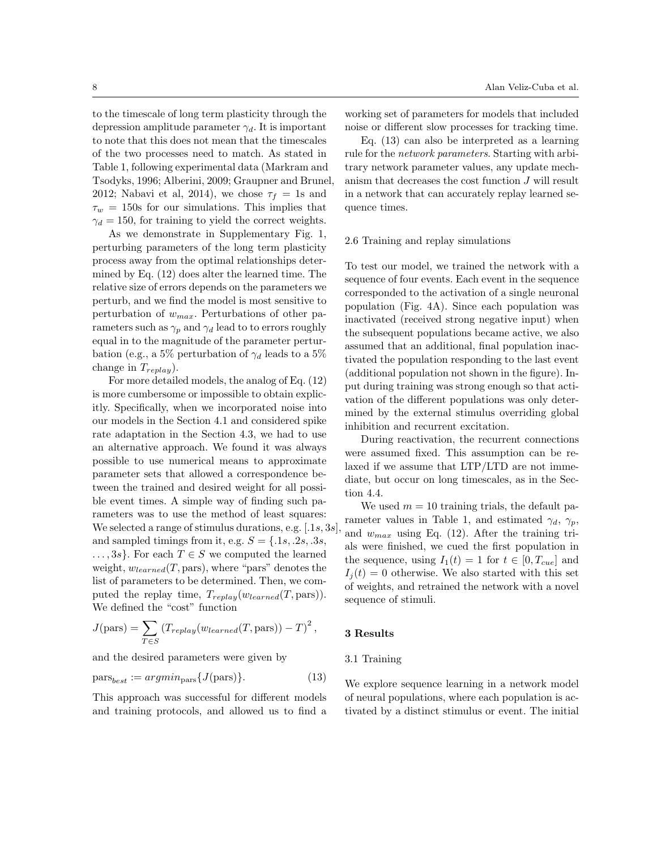to the timescale of long term plasticity through the depression amplitude parameter  $\gamma_d$ . It is important to note that this does not mean that the timescales of the two processes need to match. As stated in Table 1, following experimental data (Markram and Tsodyks, 1996; Alberini, 2009; Graupner and Brunel, 2012; Nabavi et al, 2014), we chose  $\tau_f = 1$ s and  $\tau_w = 150$ s for our simulations. This implies that  $\gamma_d = 150$ , for training to yield the correct weights.

As we demonstrate in Supplementary Fig. 1, perturbing parameters of the long term plasticity process away from the optimal relationships determined by Eq. (12) does alter the learned time. The relative size of errors depends on the parameters we perturb, and we find the model is most sensitive to perturbation of  $w_{max}$ . Perturbations of other parameters such as  $\gamma_p$  and  $\gamma_d$  lead to to errors roughly equal in to the magnitude of the parameter perturbation (e.g., a 5% perturbation of  $\gamma_d$  leads to a 5% change in  $T_{replay}$ ).

For more detailed models, the analog of Eq. (12) is more cumbersome or impossible to obtain explicitly. Specifically, when we incorporated noise into our models in the Section 4.1 and considered spike rate adaptation in the Section 4.3, we had to use an alternative approach. We found it was always possible to use numerical means to approximate parameter sets that allowed a correspondence between the trained and desired weight for all possible event times. A simple way of finding such parameters was to use the method of least squares: We selected a range of stimulus durations, e.g.  $[.1s, 3s]$ and sampled timings from it, e.g.  $S = \{.1s, .2s, .3s,$  $\ldots$ , 3s}. For each  $T \in S$  we computed the learned weight,  $w_{learned}(T, \text{pars})$ , where "pars" denotes the list of parameters to be determined. Then, we computed the replay time,  $T_{replay}(w_{learned}(T, pars)).$ We defined the "cost" function

$$
J(\text{pars}) = \sum_{T \in S} (T_{replay}(w_{learned}(T, \text{pars})) - T)^{2},
$$

and the desired parameters were given by

$$
\text{pars}_{best} := \operatorname{argmin}_{\text{pars}} \{ J(\text{pars}) \}. \tag{13}
$$

This approach was successful for different models and training protocols, and allowed us to find a working set of parameters for models that included noise or different slow processes for tracking time.

Eq. (13) can also be interpreted as a learning rule for the network parameters. Starting with arbitrary network parameter values, any update mechanism that decreases the cost function J will result in a network that can accurately replay learned sequence times.

## 2.6 Training and replay simulations

To test our model, we trained the network with a sequence of four events. Each event in the sequence corresponded to the activation of a single neuronal population (Fig. 4A). Since each population was inactivated (received strong negative input) when the subsequent populations became active, we also assumed that an additional, final population inactivated the population responding to the last event (additional population not shown in the figure). Input during training was strong enough so that activation of the different populations was only determined by the external stimulus overriding global inhibition and recurrent excitation.

During reactivation, the recurrent connections were assumed fixed. This assumption can be relaxed if we assume that LTP/LTD are not immediate, but occur on long timescales, as in the Section 4.4.

We used  $m = 10$  training trials, the default parameter values in Table 1, and estimated  $\gamma_d$ ,  $\gamma_p$ , and  $w_{max}$  using Eq. (12). After the training trials were finished, we cued the first population in the sequence, using  $I_1(t) = 1$  for  $t \in [0, T_{cue}]$  and  $I_i(t) = 0$  otherwise. We also started with this set of weights, and retrained the network with a novel sequence of stimuli.

#### 3 Results

# 3.1 Training

We explore sequence learning in a network model of neural populations, where each population is activated by a distinct stimulus or event. The initial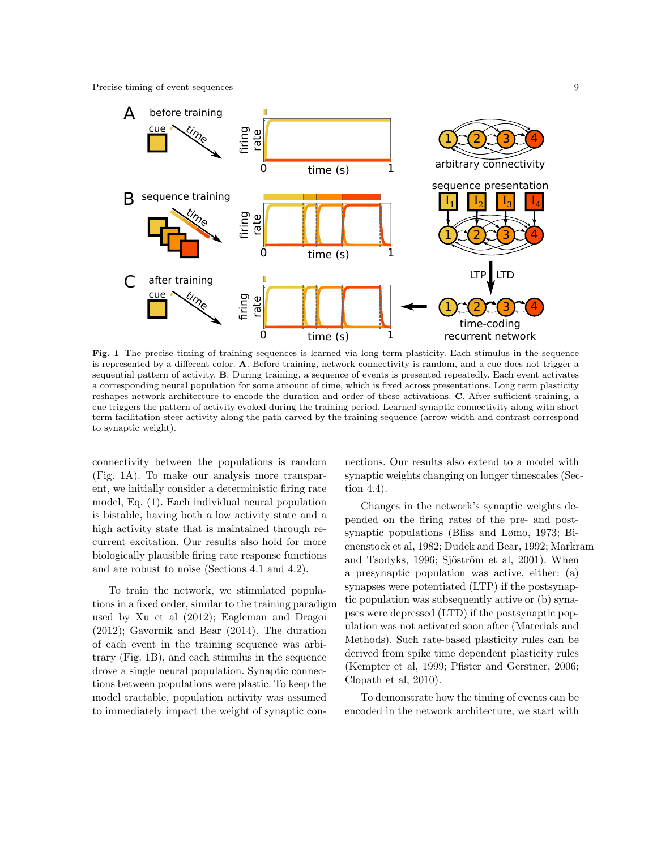

Fig. 1 The precise timing of training sequences is learned via long term plasticity. Each stimulus in the sequence is represented by a different color. A. Before training, network connectivity is random, and a cue does not trigger a sequential pattern of activity. B. During training, a sequence of events is presented repeatedly. Each event activates a corresponding neural population for some amount of time, which is fixed across presentations. Long term plasticity reshapes network architecture to encode the duration and order of these activations. C. After sufficient training, a cue triggers the pattern of activity evoked during the training period. Learned synaptic connectivity along with short term facilitation steer activity along the path carved by the training sequence (arrow width and contrast correspond to synaptic weight).

connectivity between the populations is random (Fig. 1A). To make our analysis more transparent, we initially consider a deterministic firing rate model, Eq. (1). Each individual neural population is bistable, having both a low activity state and a high activity state that is maintained through recurrent excitation. Our results also hold for more biologically plausible firing rate response functions and are robust to noise (Sections 4.1 and 4.2).

To train the network, we stimulated populations in a fixed order, similar to the training paradigm used by Xu et al (2012); Eagleman and Dragoi (2012); Gavornik and Bear (2014). The duration of each event in the training sequence was arbitrary (Fig. 1B), and each stimulus in the sequence drove a single neural population. Synaptic connections between populations were plastic. To keep the model tractable, population activity was assumed to immediately impact the weight of synaptic con-

nections. Our results also extend to a model with synaptic weights changing on longer timescales (Section 4.4).

Changes in the network's synaptic weights depended on the firing rates of the pre- and postsynaptic populations (Bliss and Lømo, 1973; Bienenstock et al, 1982; Dudek and Bear, 1992; Markram and Tsodyks, 1996; Sjöström et al, 2001). When a presynaptic population was active, either: (a) synapses were potentiated (LTP) if the postsynaptic population was subsequently active or (b) synapses were depressed (LTD) if the postsynaptic population was not activated soon after (Materials and Methods). Such rate-based plasticity rules can be derived from spike time dependent plasticity rules (Kempter et al, 1999; Pfister and Gerstner, 2006; Clopath et al, 2010).

To demonstrate how the timing of events can be encoded in the network architecture, we start with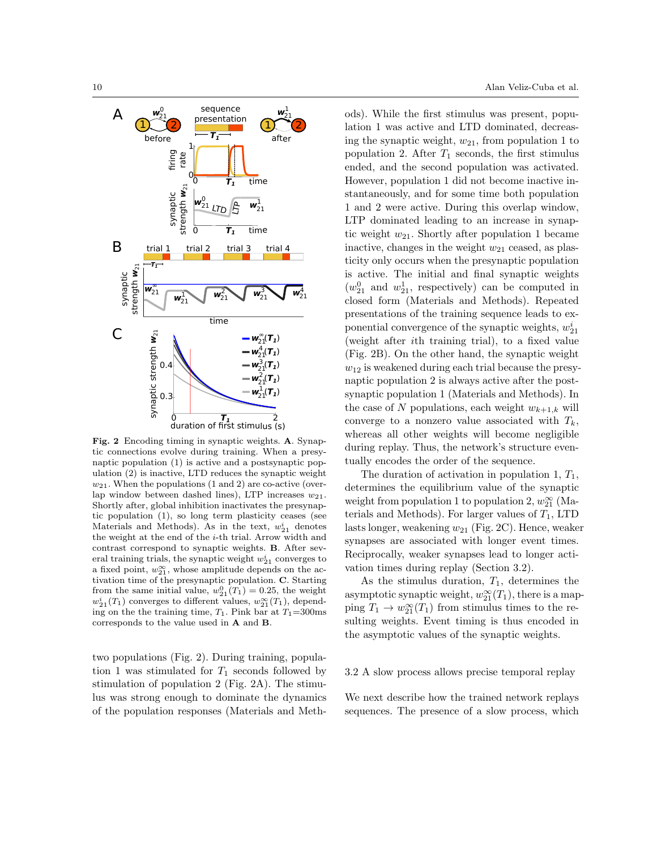

Fig. 2 Encoding timing in synaptic weights. A. Synaptic connections evolve during training. When a presynaptic population (1) is active and a postsynaptic population (2) is inactive, LTD reduces the synaptic weight  $w_{21}$ . When the populations (1 and 2) are co-active (overlap window between dashed lines), LTP increases  $w_{21}$ . Shortly after, global inhibition inactivates the presynaptic population (1), so long term plasticity ceases (see Materials and Methods). As in the text,  $w_{21}^i$  denotes the weight at the end of the i-th trial. Arrow width and contrast correspond to synaptic weights. B. After several training trials, the synaptic weight  $w_{21}^i$  converges to a fixed point,  $w_{21}^{\infty}$ , whose amplitude depends on the activation time of the presynaptic population. C. Starting from the same initial value,  $w_{21}^0(T_1) = 0.25$ , the weight  $w_{21}^i(T_1)$  converges to different values,  $w_{21}^{\infty}(T_1)$ , depending on the the training time,  $T_1$ . Pink bar at  $T_1$ =300ms corresponds to the value used in A and B.

two populations (Fig. 2). During training, population 1 was stimulated for  $T_1$  seconds followed by stimulation of population 2 (Fig. 2A). The stimulus was strong enough to dominate the dynamics of the population responses (Materials and Meth-

ods). While the first stimulus was present, population 1 was active and LTD dominated, decreasing the synaptic weight,  $w_{21}$ , from population 1 to population 2. After  $T_1$  seconds, the first stimulus ended, and the second population was activated. However, population 1 did not become inactive instantaneously, and for some time both population 1 and 2 were active. During this overlap window, LTP dominated leading to an increase in synaptic weight  $w_{21}$ . Shortly after population 1 became inactive, changes in the weight  $w_{21}$  ceased, as plasticity only occurs when the presynaptic population is active. The initial and final synaptic weights  $(w_{21}^0$  and  $w_{21}^1$ , respectively) can be computed in closed form (Materials and Methods). Repeated presentations of the training sequence leads to exponential convergence of the synaptic weights,  $w_{21}^i$ (weight after ith training trial), to a fixed value (Fig. 2B). On the other hand, the synaptic weight  $w_{12}$  is weakened during each trial because the presynaptic population 2 is always active after the postsynaptic population 1 (Materials and Methods). In the case of N populations, each weight  $w_{k+1,k}$  will converge to a nonzero value associated with  $T_k$ , whereas all other weights will become negligible during replay. Thus, the network's structure eventually encodes the order of the sequence.

The duration of activation in population 1,  $T_1$ , determines the equilibrium value of the synaptic weight from population 1 to population 2,  $w_{21}^{\infty}$  (Materials and Methods). For larger values of  $T_1$ , LTD lasts longer, weakening  $w_{21}$  (Fig. 2C). Hence, weaker synapses are associated with longer event times. Reciprocally, weaker synapses lead to longer activation times during replay (Section 3.2).

As the stimulus duration,  $T_1$ , determines the asymptotic synaptic weight,  $w_{21}^{\infty}(T_1)$ , there is a mapping  $T_1 \to w_{21}^{\infty}(T_1)$  from stimulus times to the resulting weights. Event timing is thus encoded in the asymptotic values of the synaptic weights.

# 3.2 A slow process allows precise temporal replay

We next describe how the trained network replays sequences. The presence of a slow process, which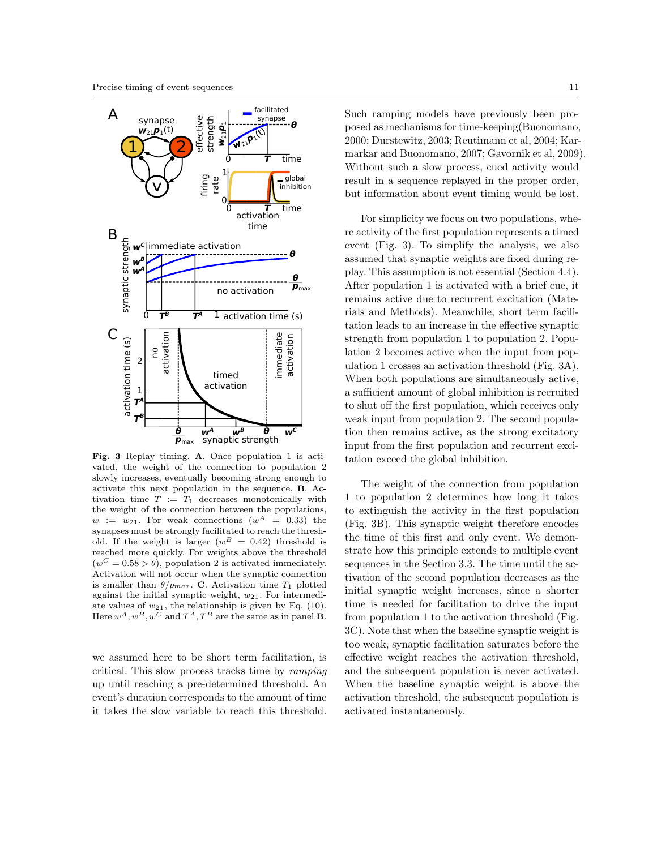

Fig. 3 Replay timing. A. Once population 1 is activated, the weight of the connection to population 2 slowly increases, eventually becoming strong enough to activate this next population in the sequence. B. Activation time  $T := T_1$  decreases monotonically with the weight of the connection between the populations,  $w := w_{21}$ . For weak connections  $(w^A = 0.33)$  the synapses must be strongly facilitated to reach the threshold. If the weight is larger  $(w^B = 0.42)$  threshold is reached more quickly. For weights above the threshold  $(w^C = 0.58 > \theta)$ , population 2 is activated immediately. Activation will not occur when the synaptic connection is smaller than  $\theta/p_{max}$ . C. Activation time  $T_1$  plotted against the initial synaptic weight,  $w_{21}$ . For intermediate values of  $w_{21}$ , the relationship is given by Eq. (10). Here  $w^A, w^B, w^C$  and  $T^A, T^B$  are the same as in panel **B**.

we assumed here to be short term facilitation, is critical. This slow process tracks time by ramping up until reaching a pre-determined threshold. An event's duration corresponds to the amount of time it takes the slow variable to reach this threshold.

Such ramping models have previously been proposed as mechanisms for time-keeping(Buonomano, 2000; Durstewitz, 2003; Reutimann et al, 2004; Karmarkar and Buonomano, 2007; Gavornik et al, 2009). Without such a slow process, cued activity would result in a sequence replayed in the proper order, but information about event timing would be lost.

For simplicity we focus on two populations, where activity of the first population represents a timed event (Fig. 3). To simplify the analysis, we also assumed that synaptic weights are fixed during replay. This assumption is not essential (Section 4.4). After population 1 is activated with a brief cue, it remains active due to recurrent excitation (Materials and Methods). Meanwhile, short term facilitation leads to an increase in the effective synaptic strength from population 1 to population 2. Population 2 becomes active when the input from population 1 crosses an activation threshold (Fig. 3A). When both populations are simultaneously active, a sufficient amount of global inhibition is recruited to shut off the first population, which receives only weak input from population 2. The second population then remains active, as the strong excitatory input from the first population and recurrent excitation exceed the global inhibition.

The weight of the connection from population 1 to population 2 determines how long it takes to extinguish the activity in the first population (Fig. 3B). This synaptic weight therefore encodes the time of this first and only event. We demonstrate how this principle extends to multiple event sequences in the Section 3.3. The time until the activation of the second population decreases as the initial synaptic weight increases, since a shorter time is needed for facilitation to drive the input from population 1 to the activation threshold (Fig. 3C). Note that when the baseline synaptic weight is too weak, synaptic facilitation saturates before the effective weight reaches the activation threshold, and the subsequent population is never activated. When the baseline synaptic weight is above the activation threshold, the subsequent population is activated instantaneously.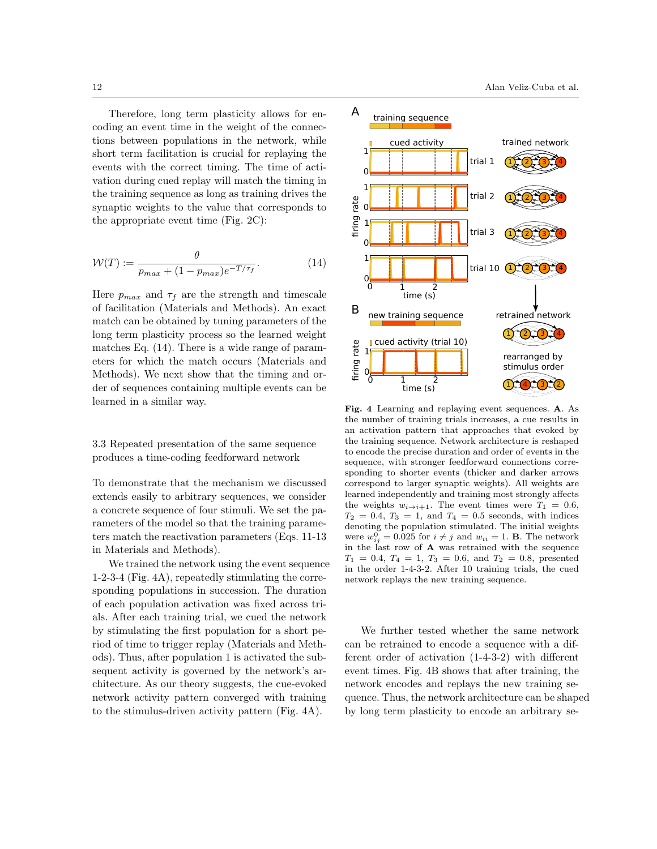Therefore, long term plasticity allows for encoding an event time in the weight of the connections between populations in the network, while short term facilitation is crucial for replaying the events with the correct timing. The time of activation during cued replay will match the timing in the training sequence as long as training drives the synaptic weights to the value that corresponds to the appropriate event time (Fig. 2C):

$$
\mathcal{W}(T) := \frac{\theta}{p_{max} + (1 - p_{max})e^{-T/\tau_f}}.\tag{14}
$$

Here  $p_{max}$  and  $\tau_f$  are the strength and timescale of facilitation (Materials and Methods). An exact match can be obtained by tuning parameters of the long term plasticity process so the learned weight matches Eq. (14). There is a wide range of parameters for which the match occurs (Materials and Methods). We next show that the timing and order of sequences containing multiple events can be learned in a similar way.

3.3 Repeated presentation of the same sequence produces a time-coding feedforward network

To demonstrate that the mechanism we discussed extends easily to arbitrary sequences, we consider a concrete sequence of four stimuli. We set the parameters of the model so that the training parameters match the reactivation parameters (Eqs. 11-13 in Materials and Methods).

We trained the network using the event sequence 1-2-3-4 (Fig. 4A), repeatedly stimulating the corresponding populations in succession. The duration of each population activation was fixed across trials. After each training trial, we cued the network by stimulating the first population for a short period of time to trigger replay (Materials and Methods). Thus, after population 1 is activated the subsequent activity is governed by the network's architecture. As our theory suggests, the cue-evoked network activity pattern converged with training to the stimulus-driven activity pattern (Fig. 4A).



Fig. 4 Learning and replaying event sequences. A. As the number of training trials increases, a cue results in an activation pattern that approaches that evoked by the training sequence. Network architecture is reshaped to encode the precise duration and order of events in the sequence, with stronger feedforward connections corresponding to shorter events (thicker and darker arrows correspond to larger synaptic weights). All weights are learned independently and training most strongly affects the weights  $w_{i\rightarrow i+1}$ . The event times were  $T_1 = 0.6$ ,  $T_2 = 0.4$ ,  $T_3 = 1$ , and  $T_4 = 0.5$  seconds, with indices denoting the population stimulated. The initial weights were  $w_{ij}^0 = 0.025$  for  $i \neq j$  and  $w_{ii} = 1$ . **B**. The network in the last row of A was retrained with the sequence  $T_1 = 0.4, T_4 = 1, T_3 = 0.6, \text{ and } T_2 = 0.8, \text{ presented}$ in the order 1-4-3-2. After 10 training trials, the cued network replays the new training sequence.

We further tested whether the same network can be retrained to encode a sequence with a different order of activation (1-4-3-2) with different event times. Fig. 4B shows that after training, the network encodes and replays the new training sequence. Thus, the network architecture can be shaped by long term plasticity to encode an arbitrary se-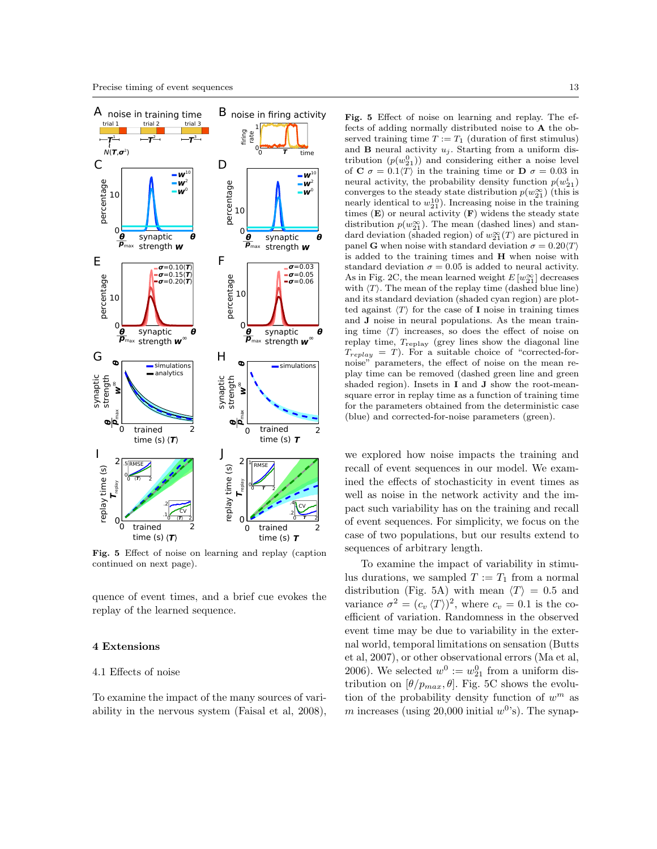

Fig. 5 Effect of noise on learning and replay (caption continued on next page).

quence of event times, and a brief cue evokes the replay of the learned sequence.

# 4 Extensions

### 4.1 Effects of noise

To examine the impact of the many sources of variability in the nervous system (Faisal et al, 2008),

Fig. 5 Effect of noise on learning and replay. The effects of adding normally distributed noise to A the observed training time  $T := T_1$  (duration of first stimulus) and **B** neural activity  $u_i$ . Starting from a uniform distribution  $(p(w_{21}^0))$  and considering either a noise level of C  $\sigma = 0.1 \langle T \rangle$  in the training time or D  $\sigma = 0.03$  in neural activity, the probability density function  $p(w_{21}^i)$ converges to the steady state distribution  $p(w_{21}^{\infty})$  (this is nearly identical to  $w_{21}^{10}$ ). Increasing noise in the training times  $(E)$  or neural activity  $(F)$  widens the steady state distribution  $p(w_2^{\infty})$ . The mean (dashed lines) and standard deviation (shaded region) of  $w_{21}^{\infty}(T)$  are pictured in panel G when noise with standard deviation  $\sigma = 0.20 \langle T \rangle$ is added to the training times and H when noise with standard deviation  $\sigma = 0.05$  is added to neural activity. As in Fig. 2C, the mean learned weight  $E[w_{21}^{\infty}]$  decreases with  $\langle T \rangle$ . The mean of the replay time (dashed blue line) and its standard deviation (shaded cyan region) are plotted against  $\langle T \rangle$  for the case of I noise in training times and J noise in neural populations. As the mean training time  $\langle T \rangle$  increases, so does the effect of noise on replay time,  $T_{\rm replay}$  (grey lines show the diagonal line  $T_{replay} = T$ ). For a suitable choice of "corrected-fornoise" parameters, the effect of noise on the mean replay time can be removed (dashed green line and green shaded region). Insets in I and J show the root-meansquare error in replay time as a function of training time for the parameters obtained from the deterministic case

we explored how noise impacts the training and recall of event sequences in our model. We examined the effects of stochasticity in event times as well as noise in the network activity and the impact such variability has on the training and recall of event sequences. For simplicity, we focus on the case of two populations, but our results extend to sequences of arbitrary length.

(blue) and corrected-for-noise parameters (green).

To examine the impact of variability in stimulus durations, we sampled  $T := T_1$  from a normal distribution (Fig. 5A) with mean  $\langle T \rangle = 0.5$  and variance  $\sigma^2 = (c_v \langle T \rangle)^2$ , where  $c_v = 0.1$  is the coefficient of variation. Randomness in the observed event time may be due to variability in the external world, temporal limitations on sensation (Butts et al, 2007), or other observational errors (Ma et al, 2006). We selected  $w^0 := w_{21}^0$  from a uniform distribution on  $[\theta/p_{max}, \theta]$ . Fig. 5C shows the evolution of the probability density function of  $w^m$  as m increases (using 20,000 initial  $w^0$ 's). The synap-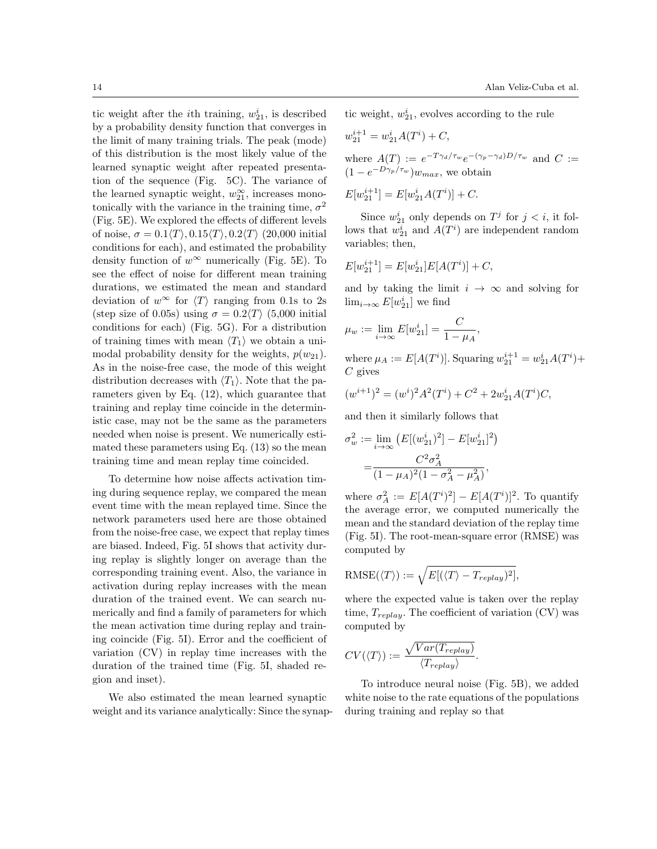tic weight after the *i*<sup>th</sup> training,  $w_{21}^i$ , is described by a probability density function that converges in the limit of many training trials. The peak (mode) of this distribution is the most likely value of the learned synaptic weight after repeated presentation of the sequence (Fig. 5C). The variance of the learned synaptic weight,  $w_{21}^{\infty}$ , increases monotonically with the variance in the training time,  $\sigma^2$ (Fig. 5E). We explored the effects of different levels of noise,  $\sigma = 0.1\langle T \rangle, 0.15\langle T \rangle, 0.2\langle T \rangle$  (20,000 initial conditions for each), and estimated the probability density function of  $w^{\infty}$  numerically (Fig. 5E). To see the effect of noise for different mean training durations, we estimated the mean and standard deviation of  $w^{\infty}$  for  $\langle T \rangle$  ranging from 0.1s to 2s (step size of 0.05s) using  $\sigma = 0.2 \langle T \rangle$  (5,000 initial conditions for each) (Fig. 5G). For a distribution of training times with mean  $\langle T_1 \rangle$  we obtain a unimodal probability density for the weights,  $p(w_{21})$ . As in the noise-free case, the mode of this weight distribution decreases with  $\langle T_1 \rangle$ . Note that the parameters given by Eq. (12), which guarantee that training and replay time coincide in the deterministic case, may not be the same as the parameters needed when noise is present. We numerically estimated these parameters using Eq. (13) so the mean training time and mean replay time coincided.

To determine how noise affects activation timing during sequence replay, we compared the mean event time with the mean replayed time. Since the network parameters used here are those obtained from the noise-free case, we expect that replay times are biased. Indeed, Fig. 5I shows that activity during replay is slightly longer on average than the corresponding training event. Also, the variance in activation during replay increases with the mean duration of the trained event. We can search numerically and find a family of parameters for which the mean activation time during replay and training coincide (Fig. 5I). Error and the coefficient of variation (CV) in replay time increases with the duration of the trained time (Fig. 5I, shaded region and inset).

We also estimated the mean learned synaptic weight and its variance analytically: Since the synaptic weight,  $w_{21}^i$ , evolves according to the rule

$$
w_{21}^{i+1} = w_{21}^i A(T^i) + C,
$$
  
where  $A(T) := e^{-T\gamma_d/\tau_w} e^{-(\gamma_p - \gamma_d)D/\tau_w}$  and  $C := (1 - e^{-D\gamma_p/\tau_w})w_{max}$ , we obtain

$$
E[w_{21}^{i+1}] = E[w_{21}^i A(T^i)] + C.
$$

Since  $w_{21}^i$  only depends on  $T^j$  for  $j < i$ , it follows that  $w_{21}^i$  and  $A(T^i)$  are independent random variables; then,

$$
E[w_{21}^{i+1}] = E[w_{21}^i]E[A(T^i)] + C,
$$

and by taking the limit  $i \rightarrow \infty$  and solving for  $\lim_{i\to\infty} E[w_{21}^i]$  we find

$$
\mu_w := \lim_{i \to \infty} E[w_{21}^i] = \frac{C}{1 - \mu_A},
$$

where  $\mu_A := E[A(T^i)]$ . Squaring  $w_{21}^{i+1} = w_{21}^i A(T^i) +$  $C$  gives

$$
(w^{i+1})^2 = (w^i)^2 A^2(T^i) + C^2 + 2w_{21}^i A(T^i)C,
$$

and then it similarly follows that

$$
\sigma_w^2 := \lim_{i \to \infty} \left( E[(w_{21}^i)^2] - E[w_{21}^i]^2 \right)
$$

$$
= \frac{C^2 \sigma_A^2}{(1 - \mu_A)^2 (1 - \sigma_A^2 - \mu_A^2)},
$$

where  $\sigma_A^2 := E[A(T^i)^2] - E[A(T^i)]^2$ . To quantify the average error, we computed numerically the mean and the standard deviation of the replay time (Fig. 5I). The root-mean-square error (RMSE) was computed by

RMSE(
$$
\langle T \rangle
$$
) :=  $\sqrt{E[(\langle T \rangle - T_{replay})^2]}$ ,

where the expected value is taken over the replay time,  $T_{replay}$ . The coefficient of variation (CV) was computed by

$$
CV(\langle T \rangle) := \frac{\sqrt{Var(T_{replay})}}{\langle T_{replay} \rangle}.
$$

To introduce neural noise (Fig. 5B), we added white noise to the rate equations of the populations during training and replay so that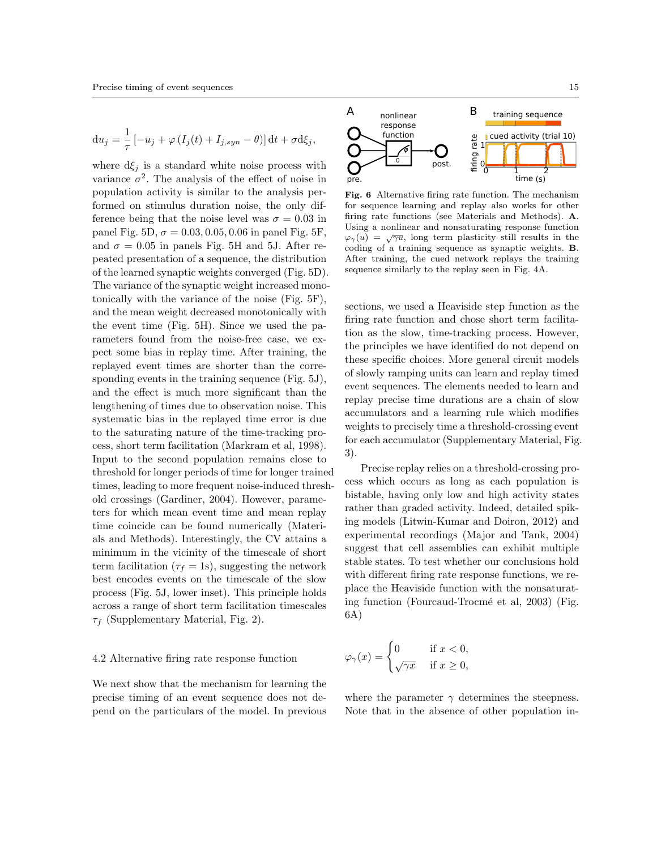$$
\mathrm{d}u_j = \frac{1}{\tau} \left[ -u_j + \varphi \left( I_j(t) + I_{j,syn} - \theta \right) \right] \mathrm{d}t + \sigma \mathrm{d}\xi_j,
$$

where  $d\xi_j$  is a standard white noise process with variance  $\sigma^2$ . The analysis of the effect of noise in population activity is similar to the analysis performed on stimulus duration noise, the only difference being that the noise level was  $\sigma = 0.03$  in panel Fig. 5D,  $\sigma = 0.03, 0.05, 0.06$  in panel Fig. 5F, and  $\sigma = 0.05$  in panels Fig. 5H and 5J. After repeated presentation of a sequence, the distribution of the learned synaptic weights converged (Fig. 5D). The variance of the synaptic weight increased monotonically with the variance of the noise (Fig. 5F), and the mean weight decreased monotonically with the event time (Fig. 5H). Since we used the parameters found from the noise-free case, we expect some bias in replay time. After training, the replayed event times are shorter than the corresponding events in the training sequence (Fig. 5J), and the effect is much more significant than the lengthening of times due to observation noise. This systematic bias in the replayed time error is due to the saturating nature of the time-tracking process, short term facilitation (Markram et al, 1998). Input to the second population remains close to threshold for longer periods of time for longer trained times, leading to more frequent noise-induced threshold crossings (Gardiner, 2004). However, parameters for which mean event time and mean replay time coincide can be found numerically (Materials and Methods). Interestingly, the CV attains a minimum in the vicinity of the timescale of short term facilitation ( $\tau_f = 1$ s), suggesting the network best encodes events on the timescale of the slow process (Fig. 5J, lower inset). This principle holds across a range of short term facilitation timescales  $\tau_f$  (Supplementary Material, Fig. 2).

#### 4.2 Alternative firing rate response function

We next show that the mechanism for learning the precise timing of an event sequence does not depend on the particulars of the model. In previous



Fig. 6 Alternative firing rate function. The mechanism for sequence learning and replay also works for other firing rate functions (see Materials and Methods). A. Using a nonlinear and nonsaturating response function  $\varphi_{\gamma}(u) = \sqrt{\gamma u}$ , long term plasticity still results in the coding of a training sequence as synaptic weights. B. After training, the cued network replays the training sequence similarly to the replay seen in Fig. 4A.

sections, we used a Heaviside step function as the firing rate function and chose short term facilitation as the slow, time-tracking process. However, the principles we have identified do not depend on these specific choices. More general circuit models of slowly ramping units can learn and replay timed event sequences. The elements needed to learn and replay precise time durations are a chain of slow accumulators and a learning rule which modifies weights to precisely time a threshold-crossing event for each accumulator (Supplementary Material, Fig. 3).

Precise replay relies on a threshold-crossing process which occurs as long as each population is bistable, having only low and high activity states rather than graded activity. Indeed, detailed spiking models (Litwin-Kumar and Doiron, 2012) and experimental recordings (Major and Tank, 2004) suggest that cell assemblies can exhibit multiple stable states. To test whether our conclusions hold with different firing rate response functions, we replace the Heaviside function with the nonsaturating function (Fourcaud-Trocm´e et al, 2003) (Fig. 6A)

$$
\varphi_{\gamma}(x) = \begin{cases} 0 & \text{if } x < 0, \\ \sqrt{\gamma x} & \text{if } x \ge 0, \end{cases}
$$

where the parameter  $\gamma$  determines the steepness. Note that in the absence of other population in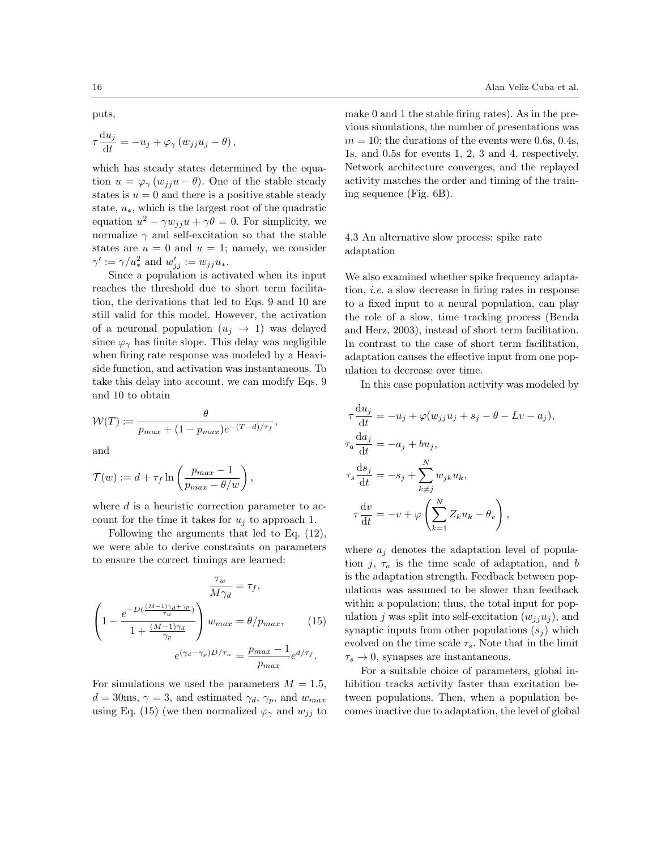puts,

$$
\tau \frac{\mathrm{d}u_j}{\mathrm{d}t} = -u_j + \varphi_\gamma \left( w_{jj} u_j - \theta \right),
$$

which has steady states determined by the equation  $u = \varphi_{\gamma}(w_{ji}u - \theta)$ . One of the stable steady states is  $u = 0$  and there is a positive stable steady state,  $u_*$ , which is the largest root of the quadratic equation  $u^2 - \gamma w_{jj}u + \gamma \theta = 0$ . For simplicity, we normalize  $\gamma$  and self-excitation so that the stable states are  $u = 0$  and  $u = 1$ ; namely, we consider  $\gamma' := \gamma/u_*^2$  and  $w'_{jj} := w_{jj}u_*$ .

Since a population is activated when its input reaches the threshold due to short term facilitation, the derivations that led to Eqs. 9 and 10 are still valid for this model. However, the activation of a neuronal population  $(u_j \rightarrow 1)$  was delayed since  $\varphi_{\gamma}$  has finite slope. This delay was negligible when firing rate response was modeled by a Heaviside function, and activation was instantaneous. To take this delay into account, we can modify Eqs. 9 and 10 to obtain

$$
\mathcal{W}(T) := \frac{\theta}{p_{max} + (1 - p_{max})e^{-(T - d)/\tau_f}},
$$

and

$$
\mathcal{T}(w) := d + \tau_f \ln \left( \frac{p_{max} - 1}{p_{max} - \theta/w} \right),
$$

where  $d$  is a heuristic correction parameter to account for the time it takes for  $u_i$  to approach 1.

Following the arguments that led to Eq. (12), we were able to derive constraints on parameters to ensure the correct timings are learned:

$$
\frac{\tau_w}{M\gamma_d} = \tau_f,
$$
\n
$$
\left(1 - \frac{e^{-D(\frac{(M-1)\gamma_d + \gamma_p}{\tau_w})}}{1 + \frac{(M-1)\gamma_d}{\gamma_p}}\right)w_{max} = \theta/p_{max},
$$
\n
$$
e^{(\gamma_d - \gamma_p)D/\tau_w} = \frac{p_{max} - 1}{p_{max}}e^{d/\tau_f}.
$$
\n(15)

For simulations we used the parameters  $M = 1.5$ ,  $d = 30$ ms,  $\gamma = 3$ , and estimated  $\gamma_d$ ,  $\gamma_p$ , and  $w_{max}$ using Eq. (15) (we then normalized  $\varphi_{\gamma}$  and  $w_{jj}$  to

make 0 and 1 the stable firing rates). As in the previous simulations, the number of presentations was  $m = 10$ ; the durations of the events were 0.6s, 0.4s, 1s, and 0.5s for events 1, 2, 3 and 4, respectively. Network architecture converges, and the replayed activity matches the order and timing of the training sequence (Fig. 6B).

# 4.3 An alternative slow process: spike rate adaptation

We also examined whether spike frequency adaptation, i.e. a slow decrease in firing rates in response to a fixed input to a neural population, can play the role of a slow, time tracking process (Benda and Herz, 2003), instead of short term facilitation. In contrast to the case of short term facilitation, adaptation causes the effective input from one population to decrease over time.

In this case population activity was modeled by

$$
\tau \frac{du_j}{dt} = -u_j + \varphi(w_{jj}u_j + s_j - \theta - Lv - a_j),
$$
  
\n
$$
\tau_a \frac{da_j}{dt} = -a_j + bu_j,
$$
  
\n
$$
\tau_s \frac{ds_j}{dt} = -s_j + \sum_{k \neq j}^N w_{jk} u_k,
$$
  
\n
$$
\tau \frac{dv}{dt} = -v + \varphi\left(\sum_{k=1}^N Z_k u_k - \theta_v\right),
$$

where  $a_i$  denotes the adaptation level of population j,  $\tau_a$  is the time scale of adaptation, and b is the adaptation strength. Feedback between populations was assumed to be slower than feedback within a population; thus, the total input for population j was split into self-excitation  $(w_{ij}u_j)$ , and synaptic inputs from other populations  $(s_i)$  which evolved on the time scale  $\tau_s$ . Note that in the limit  $\tau_s \to 0$ , synapses are instantaneous.

For a suitable choice of parameters, global inhibition tracks activity faster than excitation between populations. Then, when a population becomes inactive due to adaptation, the level of global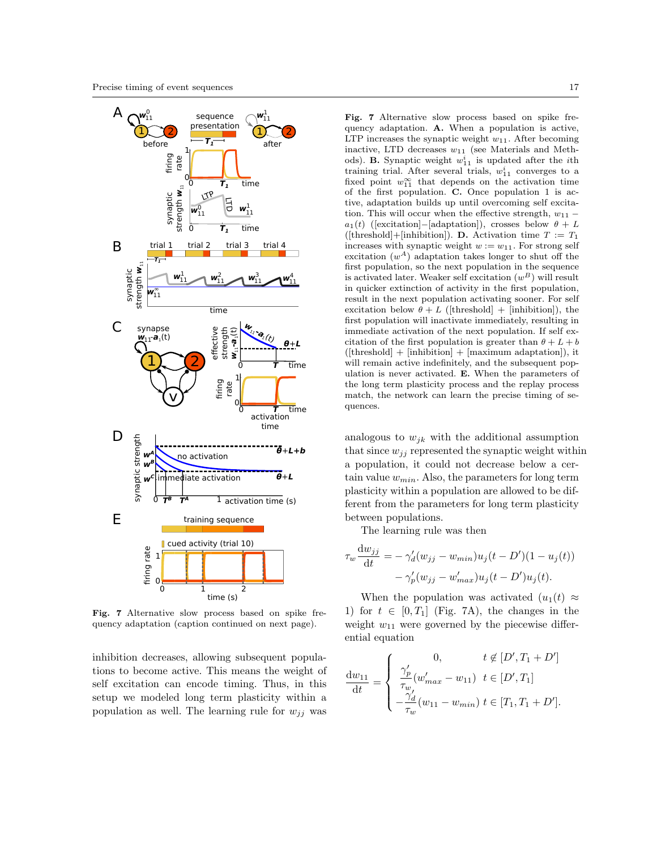

Fig. 7 Alternative slow process based on spike frequency adaptation (caption continued on next page).

inhibition decreases, allowing subsequent populations to become active. This means the weight of self excitation can encode timing. Thus, in this setup we modeled long term plasticity within a population as well. The learning rule for  $w_{ij}$  was

Fig. 7 Alternative slow process based on spike frequency adaptation. A. When a population is active, LTP increases the synaptic weight  $w_{11}$ . After becoming inactive, LTD decreases  $w_{11}$  (see Materials and Methods). **B.** Synaptic weight  $w_{11}^i$  is updated after the *i*th training trial. After several trials,  $w_{11}^i$  converges to a fixed point  $w_{11}^{\infty}$  that depends on the activation time of the first population. C. Once population 1 is active, adaptation builds up until overcoming self excitation. This will occur when the effective strength,  $w_{11}$  –  $a_1(t)$  ([excitation]–[adaptation]), crosses below  $\theta + L$ ([threshold]+[inhibition]). **D.** Activation time  $T := T_1$ increases with synaptic weight  $w := w_{11}$ . For strong self excitation  $(w^A)$  adaptation takes longer to shut off the first population, so the next population in the sequence is activated later. Weaker self excitation  $(w^B)$  will result in quicker extinction of activity in the first population, result in the next population activating sooner. For self excitation below  $\theta + L$  ([threshold] + [inhibition]), the first population will inactivate immediately, resulting in immediate activation of the next population. If self excitation of the first population is greater than  $\theta + L + b$  $([threshold] + [inhibition] + [maximum adaptation]),$  it will remain active indefinitely, and the subsequent population is never activated. E. When the parameters of the long term plasticity process and the replay process match, the network can learn the precise timing of sequences.

analogous to  $w_{ik}$  with the additional assumption that since  $w_{ij}$  represented the synaptic weight within a population, it could not decrease below a certain value  $w_{min}$ . Also, the parameters for long term plasticity within a population are allowed to be different from the parameters for long term plasticity between populations.

The learning rule was then

 $\tau$ 

$$
w\frac{\mathrm{d}w_{jj}}{\mathrm{d}t} = -\gamma'_d(w_{jj} - w_{min})u_j(t - D')(1 - u_j(t))
$$

$$
-\gamma'_p(w_{jj} - w'_{max})u_j(t - D')u_j(t).
$$

When the population was activated  $(u_1(t) \approx$ 1) for  $t \in [0, T_1]$  (Fig. 7A), the changes in the weight  $w_{11}$  were governed by the piecewise differential equation

$$
\frac{dw_{11}}{dt} = \begin{cases}\n0, & t \notin [D', T_1 + D'] \\
\frac{\gamma_p'}{\tau_w}(w'_{max} - w_{11}) & t \in [D', T_1] \\
-\frac{\gamma_d'}{\tau_w}(w_{11} - w_{min}) & t \in [T_1, T_1 + D'].\n\end{cases}
$$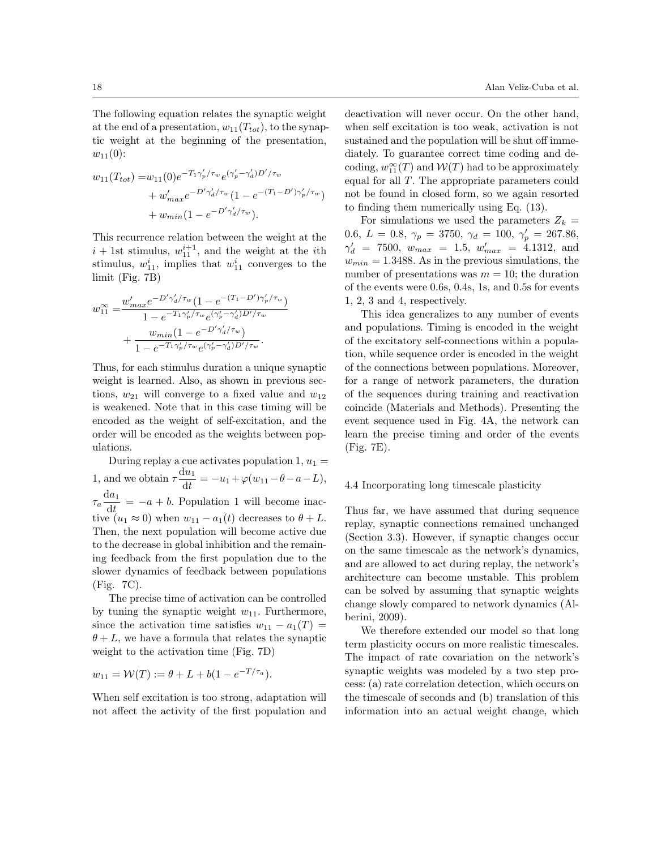The following equation relates the synaptic weight at the end of a presentation,  $w_{11}(T_{tot})$ , to the synaptic weight at the beginning of the presentation,  $w_{11}(0)$ :

$$
w_{11}(T_{tot}) = w_{11}(0)e^{-T_1\gamma_p'/\tau_w}e^{(\gamma_p' - \gamma_d')D'/\tau_w} + w'_{max}e^{-D'\gamma_d'/\tau_w}(1 - e^{-(T_1 - D')\gamma_p'/\tau_w}) + w_{min}(1 - e^{-D'\gamma_d'/\tau_w}).
$$

This recurrence relation between the weight at the  $i + 1$ st stimulus,  $w_{11}^{i+1}$ , and the weight at the *i*<sup>th</sup> stimulus,  $w_{11}^i$ , implies that  $w_{11}^i$  converges to the limit (Fig. 7B)

$$
w_{11}^{\infty} = \frac{w'_{max}e^{-D'\gamma'_d/\tau_w}(1 - e^{-(T_1 - D')\gamma'_p/\tau_w})}{1 - e^{-T_1\gamma'_p/\tau_w}e^{(\gamma'_p - \gamma'_d)D'/\tau_w}}
$$

$$
+ \frac{w_{min}(1 - e^{-D'\gamma'_d/\tau_w})}{1 - e^{-T_1\gamma'_p/\tau_w}e^{(\gamma'_p - \gamma'_d)D'/\tau_w}}.
$$

Thus, for each stimulus duration a unique synaptic weight is learned. Also, as shown in previous sections,  $w_{21}$  will converge to a fixed value and  $w_{12}$ is weakened. Note that in this case timing will be encoded as the weight of self-excitation, and the order will be encoded as the weights between populations.

During replay a cue activates population  $1, u_1 =$ 1, and we obtain  $\tau \frac{du_1}{dt}$  $\frac{d u_1}{d t} = -u_1 + \varphi(w_{11} - \theta - a - L),$  $\tau_a \frac{da_1}{\sigma_a}$  $\frac{da_1}{dt} = -a + b.$  Population 1 will become inactive  $(u_1 \approx 0)$  when  $w_{11} - a_1(t)$  decreases to  $\theta + L$ . Then, the next population will become active due to the decrease in global inhibition and the remaining feedback from the first population due to the slower dynamics of feedback between populations (Fig. 7C).

The precise time of activation can be controlled by tuning the synaptic weight  $w_{11}$ . Furthermore, since the activation time satisfies  $w_{11} - a_1(T) =$  $\theta + L$ , we have a formula that relates the synaptic weight to the activation time (Fig. 7D)

$$
w_{11} = \mathcal{W}(T) := \theta + L + b(1 - e^{-T/\tau_a}).
$$

When self excitation is too strong, adaptation will not affect the activity of the first population and

deactivation will never occur. On the other hand, when self excitation is too weak, activation is not sustained and the population will be shut off immediately. To guarantee correct time coding and decoding,  $w_{11}^{\infty}(T)$  and  $\mathcal{W}(T)$  had to be approximately equal for all T. The appropriate parameters could not be found in closed form, so we again resorted to finding them numerically using Eq. (13).

For simulations we used the parameters  $Z_k =$ 0.6,  $L = 0.8$ ,  $\gamma_p = 3750$ ,  $\gamma_d = 100$ ,  $\gamma'_p = 267.86$ ,  $\gamma_d' = 7500, w_{max} = 1.5, w'_{max} = 4.1312, \text{ and}$  $w_{min} = 1.3488$ . As in the previous simulations, the number of presentations was  $m = 10$ ; the duration of the events were 0.6s, 0.4s, 1s, and 0.5s for events 1, 2, 3 and 4, respectively.

This idea generalizes to any number of events and populations. Timing is encoded in the weight of the excitatory self-connections within a population, while sequence order is encoded in the weight of the connections between populations. Moreover, for a range of network parameters, the duration of the sequences during training and reactivation coincide (Materials and Methods). Presenting the event sequence used in Fig. 4A, the network can learn the precise timing and order of the events (Fig. 7E).

## 4.4 Incorporating long timescale plasticity

Thus far, we have assumed that during sequence replay, synaptic connections remained unchanged (Section 3.3). However, if synaptic changes occur on the same timescale as the network's dynamics, and are allowed to act during replay, the network's architecture can become unstable. This problem can be solved by assuming that synaptic weights change slowly compared to network dynamics (Alberini, 2009).

We therefore extended our model so that long term plasticity occurs on more realistic timescales. The impact of rate covariation on the network's synaptic weights was modeled by a two step process: (a) rate correlation detection, which occurs on the timescale of seconds and (b) translation of this information into an actual weight change, which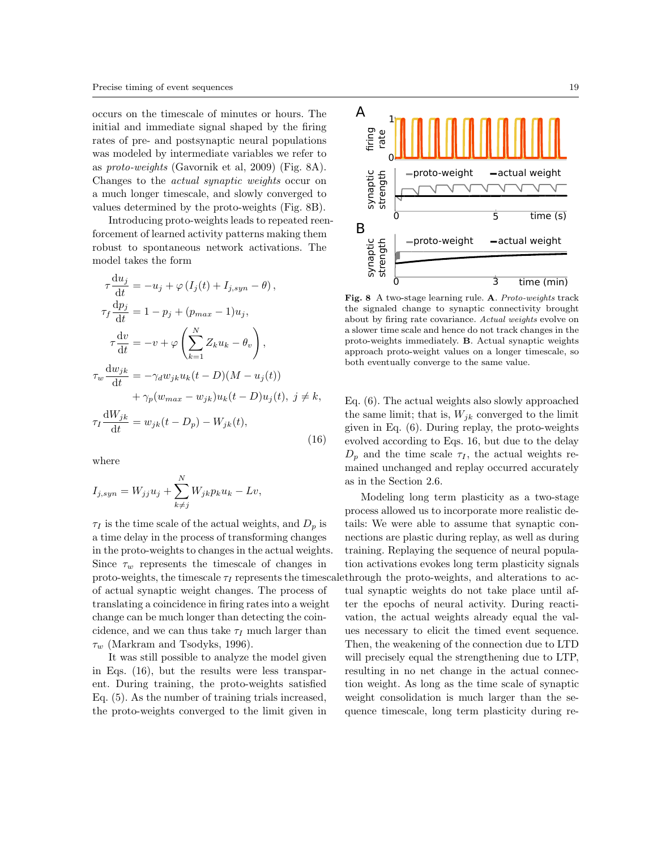occurs on the timescale of minutes or hours. The initial and immediate signal shaped by the firing rates of pre- and postsynaptic neural populations was modeled by intermediate variables we refer to as proto-weights (Gavornik et al, 2009) (Fig. 8A). Changes to the actual synaptic weights occur on a much longer timescale, and slowly converged to values determined by the proto-weights (Fig. 8B).

Introducing proto-weights leads to repeated reenforcement of learned activity patterns making them robust to spontaneous network activations. The model takes the form

$$
\tau \frac{du_j}{dt} = -u_j + \varphi (I_j(t) + I_{j,syn} - \theta),
$$
  
\n
$$
\tau_f \frac{dp_j}{dt} = 1 - p_j + (p_{max} - 1)u_j,
$$
  
\n
$$
\tau \frac{dv}{dt} = -v + \varphi \left(\sum_{k=1}^N Z_k u_k - \theta_v\right),
$$
  
\n
$$
\tau_w \frac{dw_{jk}}{dt} = -\gamma_d w_{jk} u_k(t - D)(M - u_j(t))
$$
  
\n
$$
+ \gamma_p (w_{max} - w_{jk})u_k(t - D)u_j(t), j \neq k,
$$
  
\n
$$
\tau_I \frac{dW_{jk}}{dt} = w_{jk}(t - D_p) - W_{jk}(t),
$$
\n(16)

where

$$
I_{j,syn} = W_{jj}u_j + \sum_{k \neq j}^{N} W_{jk}p_k u_k - Lv,
$$

 $\tau_I$  is the time scale of the actual weights, and  $D_p$  is a time delay in the process of transforming changes in the proto-weights to changes in the actual weights. Since  $\tau_w$  represents the timescale of changes in proto-weights, the timescale  $\tau_I$  represents the timescale through the proto-weights, and alterations to acof actual synaptic weight changes. The process of translating a coincidence in firing rates into a weight change can be much longer than detecting the coincidence, and we can thus take  $\tau_I$  much larger than  $\tau_w$  (Markram and Tsodyks, 1996).

It was still possible to analyze the model given in Eqs. (16), but the results were less transparent. During training, the proto-weights satisfied Eq. (5). As the number of training trials increased, the proto-weights converged to the limit given in



Fig. 8 A two-stage learning rule. A. Proto-weights track the signaled change to synaptic connectivity brought about by firing rate covariance. Actual weights evolve on a slower time scale and hence do not track changes in the proto-weights immediately. B. Actual synaptic weights approach proto-weight values on a longer timescale, so both eventually converge to the same value.

Eq. (6). The actual weights also slowly approached the same limit; that is,  $W_{ik}$  converged to the limit given in Eq. (6). During replay, the proto-weights evolved according to Eqs. 16, but due to the delay  $D_n$  and the time scale  $\tau_I$ , the actual weights remained unchanged and replay occurred accurately as in the Section 2.6.

Modeling long term plasticity as a two-stage process allowed us to incorporate more realistic details: We were able to assume that synaptic connections are plastic during replay, as well as during training. Replaying the sequence of neural population activations evokes long term plasticity signals tual synaptic weights do not take place until after the epochs of neural activity. During reactivation, the actual weights already equal the values necessary to elicit the timed event sequence. Then, the weakening of the connection due to LTD will precisely equal the strengthening due to LTP, resulting in no net change in the actual connection weight. As long as the time scale of synaptic weight consolidation is much larger than the sequence timescale, long term plasticity during re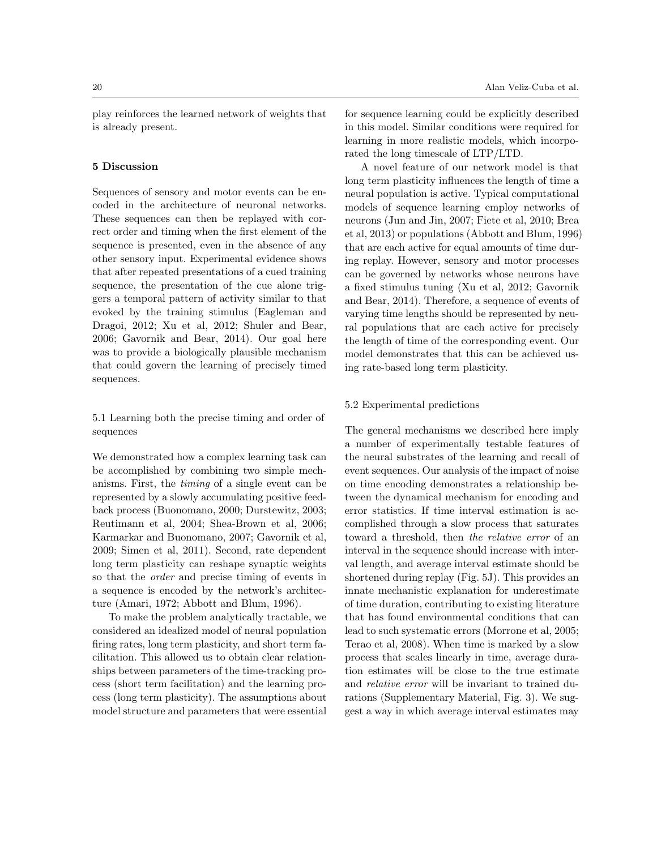play reinforces the learned network of weights that is already present.

#### 5 Discussion

Sequences of sensory and motor events can be encoded in the architecture of neuronal networks. These sequences can then be replayed with correct order and timing when the first element of the sequence is presented, even in the absence of any other sensory input. Experimental evidence shows that after repeated presentations of a cued training sequence, the presentation of the cue alone triggers a temporal pattern of activity similar to that evoked by the training stimulus (Eagleman and Dragoi, 2012; Xu et al, 2012; Shuler and Bear, 2006; Gavornik and Bear, 2014). Our goal here was to provide a biologically plausible mechanism that could govern the learning of precisely timed sequences.

5.1 Learning both the precise timing and order of sequences

We demonstrated how a complex learning task can be accomplished by combining two simple mechanisms. First, the timing of a single event can be represented by a slowly accumulating positive feedback process (Buonomano, 2000; Durstewitz, 2003; Reutimann et al, 2004; Shea-Brown et al, 2006; Karmarkar and Buonomano, 2007; Gavornik et al, 2009; Simen et al, 2011). Second, rate dependent long term plasticity can reshape synaptic weights so that the order and precise timing of events in a sequence is encoded by the network's architecture (Amari, 1972; Abbott and Blum, 1996).

To make the problem analytically tractable, we considered an idealized model of neural population firing rates, long term plasticity, and short term facilitation. This allowed us to obtain clear relationships between parameters of the time-tracking process (short term facilitation) and the learning process (long term plasticity). The assumptions about model structure and parameters that were essential

for sequence learning could be explicitly described in this model. Similar conditions were required for learning in more realistic models, which incorporated the long timescale of LTP/LTD.

A novel feature of our network model is that long term plasticity influences the length of time a neural population is active. Typical computational models of sequence learning employ networks of neurons (Jun and Jin, 2007; Fiete et al, 2010; Brea et al, 2013) or populations (Abbott and Blum, 1996) that are each active for equal amounts of time during replay. However, sensory and motor processes can be governed by networks whose neurons have a fixed stimulus tuning (Xu et al, 2012; Gavornik and Bear, 2014). Therefore, a sequence of events of varying time lengths should be represented by neural populations that are each active for precisely the length of time of the corresponding event. Our model demonstrates that this can be achieved using rate-based long term plasticity.

## 5.2 Experimental predictions

The general mechanisms we described here imply a number of experimentally testable features of the neural substrates of the learning and recall of event sequences. Our analysis of the impact of noise on time encoding demonstrates a relationship between the dynamical mechanism for encoding and error statistics. If time interval estimation is accomplished through a slow process that saturates toward a threshold, then the relative error of an interval in the sequence should increase with interval length, and average interval estimate should be shortened during replay (Fig. 5J). This provides an innate mechanistic explanation for underestimate of time duration, contributing to existing literature that has found environmental conditions that can lead to such systematic errors (Morrone et al, 2005; Terao et al, 2008). When time is marked by a slow process that scales linearly in time, average duration estimates will be close to the true estimate and relative error will be invariant to trained durations (Supplementary Material, Fig. 3). We suggest a way in which average interval estimates may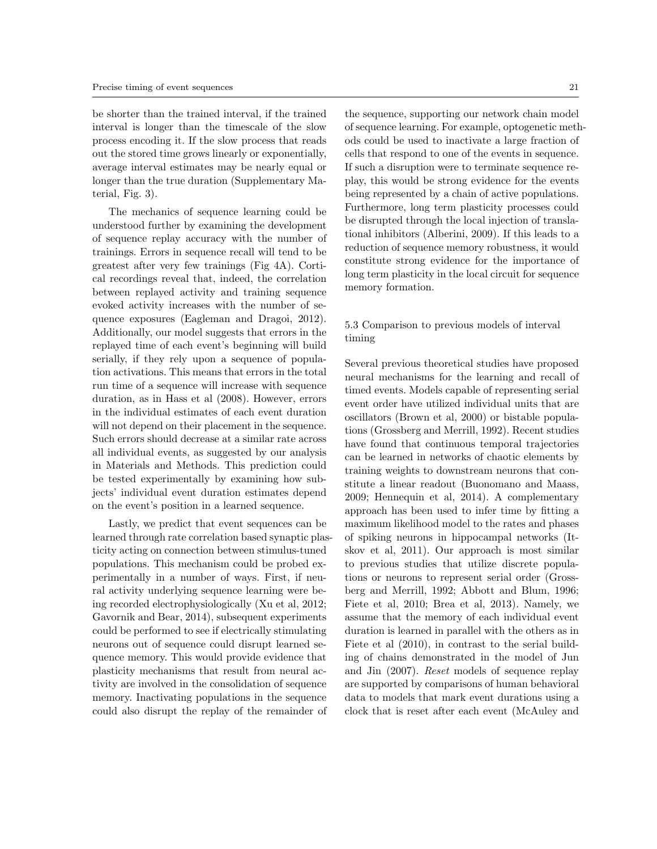be shorter than the trained interval, if the trained interval is longer than the timescale of the slow process encoding it. If the slow process that reads out the stored time grows linearly or exponentially, average interval estimates may be nearly equal or longer than the true duration (Supplementary Material, Fig. 3).

The mechanics of sequence learning could be understood further by examining the development of sequence replay accuracy with the number of trainings. Errors in sequence recall will tend to be greatest after very few trainings (Fig 4A). Cortical recordings reveal that, indeed, the correlation between replayed activity and training sequence evoked activity increases with the number of sequence exposures (Eagleman and Dragoi, 2012). Additionally, our model suggests that errors in the replayed time of each event's beginning will build serially, if they rely upon a sequence of population activations. This means that errors in the total run time of a sequence will increase with sequence duration, as in Hass et al (2008). However, errors in the individual estimates of each event duration will not depend on their placement in the sequence. Such errors should decrease at a similar rate across all individual events, as suggested by our analysis in Materials and Methods. This prediction could be tested experimentally by examining how subjects' individual event duration estimates depend on the event's position in a learned sequence.

Lastly, we predict that event sequences can be learned through rate correlation based synaptic plasticity acting on connection between stimulus-tuned populations. This mechanism could be probed experimentally in a number of ways. First, if neural activity underlying sequence learning were being recorded electrophysiologically (Xu et al, 2012; Gavornik and Bear, 2014), subsequent experiments could be performed to see if electrically stimulating neurons out of sequence could disrupt learned sequence memory. This would provide evidence that plasticity mechanisms that result from neural activity are involved in the consolidation of sequence memory. Inactivating populations in the sequence could also disrupt the replay of the remainder of

the sequence, supporting our network chain model of sequence learning. For example, optogenetic methods could be used to inactivate a large fraction of cells that respond to one of the events in sequence. If such a disruption were to terminate sequence replay, this would be strong evidence for the events being represented by a chain of active populations. Furthermore, long term plasticity processes could be disrupted through the local injection of translational inhibitors (Alberini, 2009). If this leads to a reduction of sequence memory robustness, it would constitute strong evidence for the importance of long term plasticity in the local circuit for sequence memory formation.

# 5.3 Comparison to previous models of interval timing

Several previous theoretical studies have proposed neural mechanisms for the learning and recall of timed events. Models capable of representing serial event order have utilized individual units that are oscillators (Brown et al, 2000) or bistable populations (Grossberg and Merrill, 1992). Recent studies have found that continuous temporal trajectories can be learned in networks of chaotic elements by training weights to downstream neurons that constitute a linear readout (Buonomano and Maass, 2009; Hennequin et al, 2014). A complementary approach has been used to infer time by fitting a maximum likelihood model to the rates and phases of spiking neurons in hippocampal networks (Itskov et al, 2011). Our approach is most similar to previous studies that utilize discrete populations or neurons to represent serial order (Grossberg and Merrill, 1992; Abbott and Blum, 1996; Fiete et al, 2010; Brea et al, 2013). Namely, we assume that the memory of each individual event duration is learned in parallel with the others as in Fiete et al (2010), in contrast to the serial building of chains demonstrated in the model of Jun and Jin (2007). Reset models of sequence replay are supported by comparisons of human behavioral data to models that mark event durations using a clock that is reset after each event (McAuley and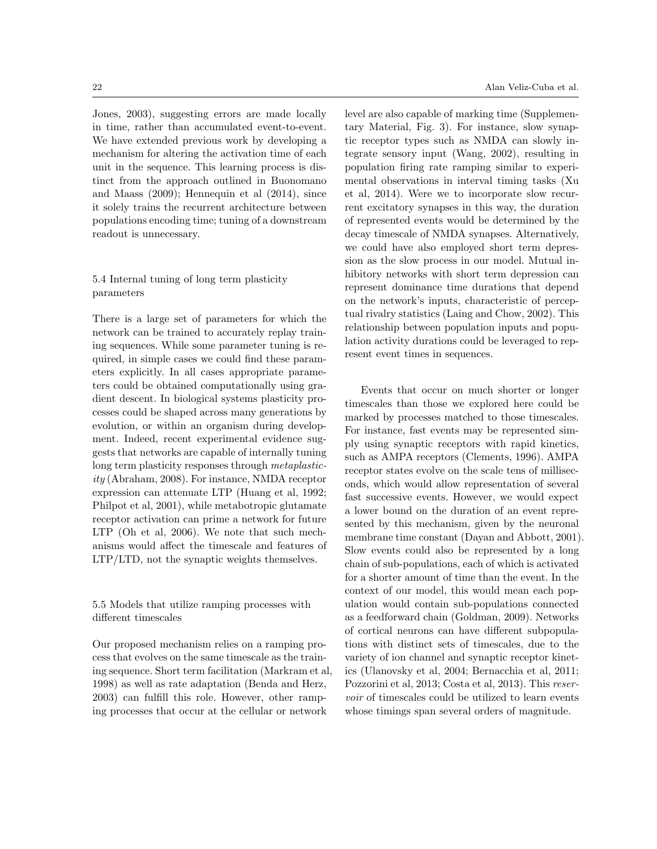Jones, 2003), suggesting errors are made locally in time, rather than accumulated event-to-event. We have extended previous work by developing a mechanism for altering the activation time of each unit in the sequence. This learning process is distinct from the approach outlined in Buonomano and Maass (2009); Hennequin et al (2014), since it solely trains the recurrent architecture between populations encoding time; tuning of a downstream readout is unnecessary.

# 5.4 Internal tuning of long term plasticity parameters

There is a large set of parameters for which the network can be trained to accurately replay training sequences. While some parameter tuning is required, in simple cases we could find these parameters explicitly. In all cases appropriate parameters could be obtained computationally using gradient descent. In biological systems plasticity processes could be shaped across many generations by evolution, or within an organism during development. Indeed, recent experimental evidence suggests that networks are capable of internally tuning long term plasticity responses through metaplasticity (Abraham, 2008). For instance, NMDA receptor expression can attenuate LTP (Huang et al, 1992; Philpot et al, 2001), while metabotropic glutamate receptor activation can prime a network for future LTP (Oh et al, 2006). We note that such mechanisms would affect the timescale and features of LTP/LTD, not the synaptic weights themselves.

5.5 Models that utilize ramping processes with different timescales

Our proposed mechanism relies on a ramping process that evolves on the same timescale as the training sequence. Short term facilitation (Markram et al, 1998) as well as rate adaptation (Benda and Herz, 2003) can fulfill this role. However, other ramping processes that occur at the cellular or network

level are also capable of marking time (Supplementary Material, Fig. 3). For instance, slow synaptic receptor types such as NMDA can slowly integrate sensory input (Wang, 2002), resulting in population firing rate ramping similar to experimental observations in interval timing tasks (Xu et al, 2014). Were we to incorporate slow recurrent excitatory synapses in this way, the duration of represented events would be determined by the decay timescale of NMDA synapses. Alternatively, we could have also employed short term depression as the slow process in our model. Mutual inhibitory networks with short term depression can represent dominance time durations that depend on the network's inputs, characteristic of perceptual rivalry statistics (Laing and Chow, 2002). This relationship between population inputs and population activity durations could be leveraged to represent event times in sequences.

Events that occur on much shorter or longer timescales than those we explored here could be marked by processes matched to those timescales. For instance, fast events may be represented simply using synaptic receptors with rapid kinetics, such as AMPA receptors (Clements, 1996). AMPA receptor states evolve on the scale tens of milliseconds, which would allow representation of several fast successive events. However, we would expect a lower bound on the duration of an event represented by this mechanism, given by the neuronal membrane time constant (Dayan and Abbott, 2001). Slow events could also be represented by a long chain of sub-populations, each of which is activated for a shorter amount of time than the event. In the context of our model, this would mean each population would contain sub-populations connected as a feedforward chain (Goldman, 2009). Networks of cortical neurons can have different subpopulations with distinct sets of timescales, due to the variety of ion channel and synaptic receptor kinetics (Ulanovsky et al, 2004; Bernacchia et al, 2011; Pozzorini et al, 2013; Costa et al, 2013). This reservoir of timescales could be utilized to learn events whose timings span several orders of magnitude.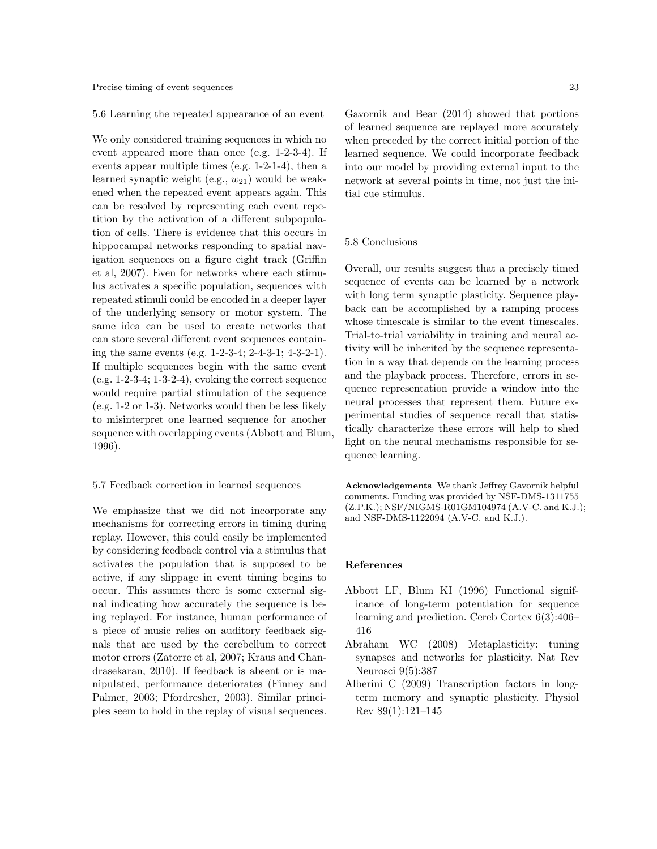5.6 Learning the repeated appearance of an event

We only considered training sequences in which no event appeared more than once (e.g. 1-2-3-4). If events appear multiple times (e.g. 1-2-1-4), then a learned synaptic weight (e.g.,  $w_{21}$ ) would be weakened when the repeated event appears again. This can be resolved by representing each event repetition by the activation of a different subpopulation of cells. There is evidence that this occurs in hippocampal networks responding to spatial navigation sequences on a figure eight track (Griffin et al, 2007). Even for networks where each stimulus activates a specific population, sequences with repeated stimuli could be encoded in a deeper layer of the underlying sensory or motor system. The same idea can be used to create networks that can store several different event sequences containing the same events (e.g. 1-2-3-4; 2-4-3-1; 4-3-2-1). If multiple sequences begin with the same event  $(e.g. 1-2-3-4; 1-3-2-4)$ , evoking the correct sequence would require partial stimulation of the sequence (e.g. 1-2 or 1-3). Networks would then be less likely to misinterpret one learned sequence for another sequence with overlapping events (Abbott and Blum, 1996).

#### 5.7 Feedback correction in learned sequences

We emphasize that we did not incorporate any mechanisms for correcting errors in timing during replay. However, this could easily be implemented by considering feedback control via a stimulus that activates the population that is supposed to be active, if any slippage in event timing begins to occur. This assumes there is some external signal indicating how accurately the sequence is being replayed. For instance, human performance of a piece of music relies on auditory feedback signals that are used by the cerebellum to correct motor errors (Zatorre et al, 2007; Kraus and Chandrasekaran, 2010). If feedback is absent or is manipulated, performance deteriorates (Finney and Palmer, 2003; Pfordresher, 2003). Similar principles seem to hold in the replay of visual sequences.

Gavornik and Bear (2014) showed that portions of learned sequence are replayed more accurately when preceded by the correct initial portion of the learned sequence. We could incorporate feedback into our model by providing external input to the network at several points in time, not just the initial cue stimulus.

## 5.8 Conclusions

Overall, our results suggest that a precisely timed sequence of events can be learned by a network with long term synaptic plasticity. Sequence playback can be accomplished by a ramping process whose timescale is similar to the event timescales. Trial-to-trial variability in training and neural activity will be inherited by the sequence representation in a way that depends on the learning process and the playback process. Therefore, errors in sequence representation provide a window into the neural processes that represent them. Future experimental studies of sequence recall that statistically characterize these errors will help to shed light on the neural mechanisms responsible for sequence learning.

Acknowledgements We thank Jeffrey Gavornik helpful comments. Funding was provided by NSF-DMS-1311755 (Z.P.K.); NSF/NIGMS-R01GM104974 (A.V-C. and K.J.); and NSF-DMS-1122094 (A.V-C. and K.J.).

### References

- Abbott LF, Blum KI (1996) Functional significance of long-term potentiation for sequence learning and prediction. Cereb Cortex 6(3):406– 416
- Abraham WC (2008) Metaplasticity: tuning synapses and networks for plasticity. Nat Rev Neurosci 9(5):387
- Alberini C (2009) Transcription factors in longterm memory and synaptic plasticity. Physiol Rev 89(1):121–145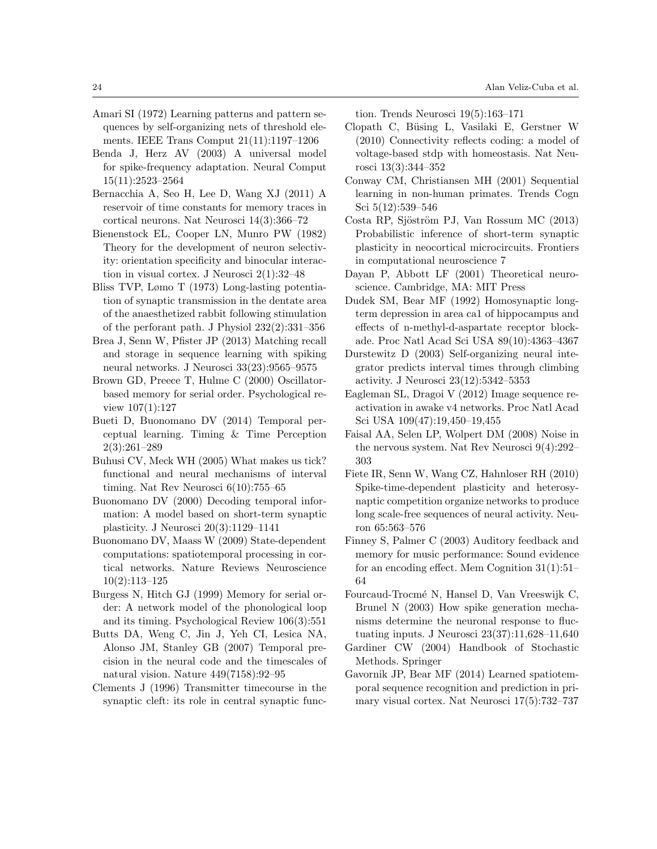- Amari SI (1972) Learning patterns and pattern sequences by self-organizing nets of threshold elements. IEEE Trans Comput 21(11):1197–1206
- Benda J, Herz AV (2003) A universal model for spike-frequency adaptation. Neural Comput 15(11):2523–2564
- Bernacchia A, Seo H, Lee D, Wang XJ (2011) A reservoir of time constants for memory traces in cortical neurons. Nat Neurosci 14(3):366–72
- Bienenstock EL, Cooper LN, Munro PW (1982) Theory for the development of neuron selectivity: orientation specificity and binocular interaction in visual cortex. J Neurosci 2(1):32–48
- Bliss TVP, Lømo T (1973) Long-lasting potentiation of synaptic transmission in the dentate area of the anaesthetized rabbit following stimulation of the perforant path. J Physiol 232(2):331–356
- Brea J, Senn W, Pfister JP (2013) Matching recall and storage in sequence learning with spiking neural networks. J Neurosci 33(23):9565–9575
- Brown GD, Preece T, Hulme C (2000) Oscillatorbased memory for serial order. Psychological review 107(1):127
- Bueti D, Buonomano DV (2014) Temporal perceptual learning. Timing & Time Perception 2(3):261–289
- Buhusi CV, Meck WH (2005) What makes us tick? functional and neural mechanisms of interval timing. Nat Rev Neurosci 6(10):755–65
- Buonomano DV (2000) Decoding temporal information: A model based on short-term synaptic plasticity. J Neurosci 20(3):1129–1141
- Buonomano DV, Maass W (2009) State-dependent computations: spatiotemporal processing in cortical networks. Nature Reviews Neuroscience 10(2):113–125
- Burgess N, Hitch GJ (1999) Memory for serial order: A network model of the phonological loop and its timing. Psychological Review 106(3):551
- Butts DA, Weng C, Jin J, Yeh CI, Lesica NA, Alonso JM, Stanley GB (2007) Temporal precision in the neural code and the timescales of natural vision. Nature 449(7158):92–95
- Clements J (1996) Transmitter timecourse in the synaptic cleft: its role in central synaptic func-

tion. Trends Neurosci 19(5):163–171

- Clopath C, Büsing L, Vasilaki E, Gerstner W (2010) Connectivity reflects coding: a model of voltage-based stdp with homeostasis. Nat Neurosci 13(3):344–352
- Conway CM, Christiansen MH (2001) Sequential learning in non-human primates. Trends Cogn Sci 5(12):539–546
- Costa RP, Sjöström PJ, Van Rossum MC (2013) Probabilistic inference of short-term synaptic plasticity in neocortical microcircuits. Frontiers in computational neuroscience 7
- Dayan P, Abbott LF (2001) Theoretical neuroscience. Cambridge, MA: MIT Press
- Dudek SM, Bear MF (1992) Homosynaptic longterm depression in area ca1 of hippocampus and effects of n-methyl-d-aspartate receptor blockade. Proc Natl Acad Sci USA 89(10):4363–4367
- Durstewitz D (2003) Self-organizing neural integrator predicts interval times through climbing activity. J Neurosci 23(12):5342–5353
- Eagleman SL, Dragoi V (2012) Image sequence reactivation in awake v4 networks. Proc Natl Acad Sci USA 109(47):19,450–19,455
- Faisal AA, Selen LP, Wolpert DM (2008) Noise in the nervous system. Nat Rev Neurosci 9(4):292– 303
- Fiete IR, Senn W, Wang CZ, Hahnloser RH (2010) Spike-time-dependent plasticity and heterosynaptic competition organize networks to produce long scale-free sequences of neural activity. Neuron 65:563–576
- Finney S, Palmer C (2003) Auditory feedback and memory for music performance: Sound evidence for an encoding effect. Mem Cognition 31(1):51– 64
- Fourcaud-Trocm´e N, Hansel D, Van Vreeswijk C, Brunel N (2003) How spike generation mechanisms determine the neuronal response to fluctuating inputs. J Neurosci 23(37):11,628–11,640
- Gardiner CW (2004) Handbook of Stochastic Methods. Springer
- Gavornik JP, Bear MF (2014) Learned spatiotemporal sequence recognition and prediction in primary visual cortex. Nat Neurosci 17(5):732–737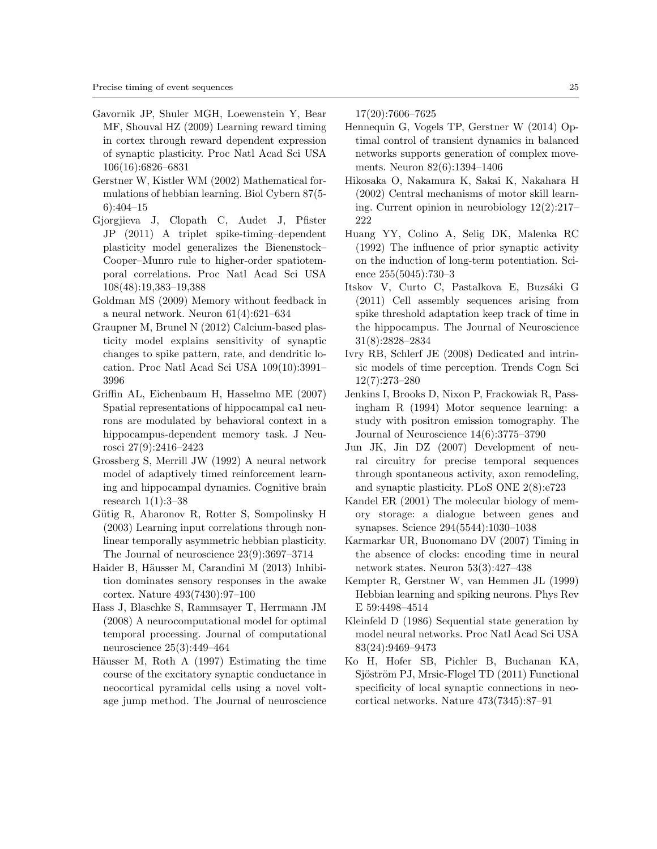- Gavornik JP, Shuler MGH, Loewenstein Y, Bear MF, Shouval HZ (2009) Learning reward timing in cortex through reward dependent expression of synaptic plasticity. Proc Natl Acad Sci USA 106(16):6826–6831
- Gerstner W, Kistler WM (2002) Mathematical formulations of hebbian learning. Biol Cybern 87(5- 6):404–15
- Gjorgjieva J, Clopath C, Audet J, Pfister JP (2011) A triplet spike-timing–dependent plasticity model generalizes the Bienenstock– Cooper–Munro rule to higher-order spatiotemporal correlations. Proc Natl Acad Sci USA 108(48):19,383–19,388
- Goldman MS (2009) Memory without feedback in a neural network. Neuron 61(4):621–634
- Graupner M, Brunel N (2012) Calcium-based plasticity model explains sensitivity of synaptic changes to spike pattern, rate, and dendritic location. Proc Natl Acad Sci USA 109(10):3991– 3996
- Griffin AL, Eichenbaum H, Hasselmo ME (2007) Spatial representations of hippocampal ca1 neurons are modulated by behavioral context in a hippocampus-dependent memory task. J Neurosci 27(9):2416–2423
- Grossberg S, Merrill JW (1992) A neural network model of adaptively timed reinforcement learning and hippocampal dynamics. Cognitive brain research 1(1):3–38
- Gütig R, Aharonov R, Rotter S, Sompolinsky H (2003) Learning input correlations through nonlinear temporally asymmetric hebbian plasticity. The Journal of neuroscience 23(9):3697–3714
- Haider B, Häusser M, Carandini M (2013) Inhibition dominates sensory responses in the awake cortex. Nature 493(7430):97–100
- Hass J, Blaschke S, Rammsayer T, Herrmann JM (2008) A neurocomputational model for optimal temporal processing. Journal of computational neuroscience 25(3):449–464
- Häusser M, Roth A  $(1997)$  Estimating the time course of the excitatory synaptic conductance in neocortical pyramidal cells using a novel voltage jump method. The Journal of neuroscience

17(20):7606–7625

- Hennequin G, Vogels TP, Gerstner W (2014) Optimal control of transient dynamics in balanced networks supports generation of complex movements. Neuron 82(6):1394–1406
- Hikosaka O, Nakamura K, Sakai K, Nakahara H (2002) Central mechanisms of motor skill learning. Current opinion in neurobiology 12(2):217– 222
- Huang YY, Colino A, Selig DK, Malenka RC (1992) The influence of prior synaptic activity on the induction of long-term potentiation. Science 255(5045):730–3
- Itskov V, Curto C, Pastalkova E, Buzsáki G (2011) Cell assembly sequences arising from spike threshold adaptation keep track of time in the hippocampus. The Journal of Neuroscience 31(8):2828–2834
- Ivry RB, Schlerf JE (2008) Dedicated and intrinsic models of time perception. Trends Cogn Sci 12(7):273–280
- Jenkins I, Brooks D, Nixon P, Frackowiak R, Passingham R (1994) Motor sequence learning: a study with positron emission tomography. The Journal of Neuroscience 14(6):3775–3790
- Jun JK, Jin DZ (2007) Development of neural circuitry for precise temporal sequences through spontaneous activity, axon remodeling, and synaptic plasticity. PLoS ONE 2(8):e723
- Kandel ER (2001) The molecular biology of memory storage: a dialogue between genes and synapses. Science 294(5544):1030–1038
- Karmarkar UR, Buonomano DV (2007) Timing in the absence of clocks: encoding time in neural network states. Neuron 53(3):427–438
- Kempter R, Gerstner W, van Hemmen JL (1999) Hebbian learning and spiking neurons. Phys Rev E 59:4498–4514
- Kleinfeld D (1986) Sequential state generation by model neural networks. Proc Natl Acad Sci USA 83(24):9469–9473
- Ko H, Hofer SB, Pichler B, Buchanan KA, Sjöström PJ, Mrsic-Flogel TD (2011) Functional specificity of local synaptic connections in neocortical networks. Nature 473(7345):87–91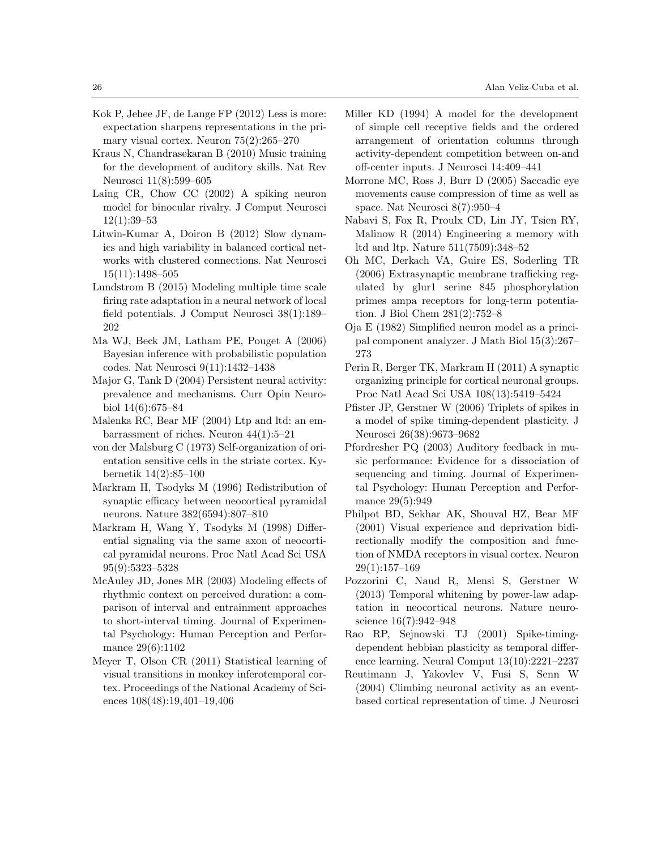- Kok P, Jehee JF, de Lange FP (2012) Less is more: expectation sharpens representations in the primary visual cortex. Neuron 75(2):265–270
- Kraus N, Chandrasekaran B (2010) Music training for the development of auditory skills. Nat Rev Neurosci 11(8):599–605
- Laing CR, Chow CC (2002) A spiking neuron model for binocular rivalry. J Comput Neurosci 12(1):39–53
- Litwin-Kumar A, Doiron B (2012) Slow dynamics and high variability in balanced cortical networks with clustered connections. Nat Neurosci 15(11):1498–505
- Lundstrom B (2015) Modeling multiple time scale firing rate adaptation in a neural network of local field potentials. J Comput Neurosci 38(1):189– 202
- Ma WJ, Beck JM, Latham PE, Pouget A (2006) Bayesian inference with probabilistic population codes. Nat Neurosci 9(11):1432–1438
- Major G, Tank D (2004) Persistent neural activity: prevalence and mechanisms. Curr Opin Neurobiol 14(6):675–84
- Malenka RC, Bear MF (2004) Ltp and ltd: an embarrassment of riches. Neuron 44(1):5–21
- von der Malsburg C (1973) Self-organization of orientation sensitive cells in the striate cortex. Kybernetik 14(2):85–100
- Markram H, Tsodyks M (1996) Redistribution of synaptic efficacy between neocortical pyramidal neurons. Nature 382(6594):807–810
- Markram H, Wang Y, Tsodyks M (1998) Differential signaling via the same axon of neocortical pyramidal neurons. Proc Natl Acad Sci USA 95(9):5323–5328
- McAuley JD, Jones MR (2003) Modeling effects of rhythmic context on perceived duration: a comparison of interval and entrainment approaches to short-interval timing. Journal of Experimental Psychology: Human Perception and Performance 29(6):1102
- Meyer T, Olson CR (2011) Statistical learning of visual transitions in monkey inferotemporal cortex. Proceedings of the National Academy of Sciences 108(48):19,401–19,406
- Miller KD (1994) A model for the development of simple cell receptive fields and the ordered arrangement of orientation columns through activity-dependent competition between on-and off-center inputs. J Neurosci 14:409–441
- Morrone MC, Ross J, Burr D (2005) Saccadic eye movements cause compression of time as well as space. Nat Neurosci 8(7):950–4
- Nabavi S, Fox R, Proulx CD, Lin JY, Tsien RY, Malinow R (2014) Engineering a memory with ltd and ltp. Nature 511(7509):348–52
- Oh MC, Derkach VA, Guire ES, Soderling TR (2006) Extrasynaptic membrane trafficking regulated by glur1 serine 845 phosphorylation primes ampa receptors for long-term potentiation. J Biol Chem 281(2):752–8
- Oja E (1982) Simplified neuron model as a principal component analyzer. J Math Biol 15(3):267– 273
- Perin R, Berger TK, Markram H (2011) A synaptic organizing principle for cortical neuronal groups. Proc Natl Acad Sci USA 108(13):5419–5424
- Pfister JP, Gerstner W (2006) Triplets of spikes in a model of spike timing-dependent plasticity. J Neurosci 26(38):9673–9682
- Pfordresher PQ (2003) Auditory feedback in music performance: Evidence for a dissociation of sequencing and timing. Journal of Experimental Psychology: Human Perception and Performance 29(5):949
- Philpot BD, Sekhar AK, Shouval HZ, Bear MF (2001) Visual experience and deprivation bidirectionally modify the composition and function of NMDA receptors in visual cortex. Neuron 29(1):157–169
- Pozzorini C, Naud R, Mensi S, Gerstner W (2013) Temporal whitening by power-law adaptation in neocortical neurons. Nature neuroscience 16(7):942–948
- Rao RP, Sejnowski TJ (2001) Spike-timingdependent hebbian plasticity as temporal difference learning. Neural Comput 13(10):2221–2237
- Reutimann J, Yakovlev V, Fusi S, Senn W (2004) Climbing neuronal activity as an eventbased cortical representation of time. J Neurosci